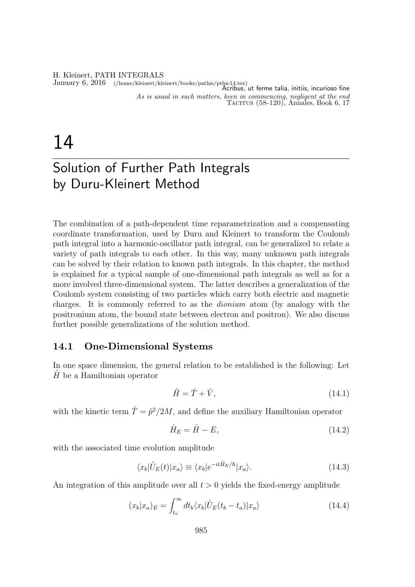#### H. Kleinert, PATH INTEGRALS

January 6, 2016 (/home/kleinert/kleinert/books/pathis/pthic14.tex) Acribus, ut ferme talia, initiis, incurioso fine As is usual in such matters, keen in commencing, negligent at the end TACITUS  $(58-120)$ , Annales, Book 6, 17

# 14

## Solution of Further Path Integrals by Duru-Kleinert Method

The combination of a path-dependent time reparametrization and a compensating coordinate transformation, used by Duru and Kleinert to transform the Coulomb path integral into a harmonic-oscillator path integral, can be generalized to relate a variety of path integrals to each other. In this way, many unknown path integrals can be solved by their relation to known path integrals. In this chapter, the method is explained for a typical sample of one-dimensional path integrals as well as for a more involved three-dimensional system. The latter describes a generalization of the Coulomb system consisting of two particles which carry both electric and magnetic charges. It is commonly referred to as the dionium atom (by analogy with the positronium atom, the bound state between electron and positron). We also discuss further possible generalizations of the solution method.

#### 14.1 One-Dimensional Systems

In one space dimension, the general relation to be established is the following: Let  $H$  be a Hamiltonian operator

$$
\hat{H} = \hat{T} + \hat{V},\tag{14.1}
$$

with the kinetic term  $\hat{T} = \hat{p}^2/2M$ , and define the auxiliary Hamiltonian operator

$$
\hat{H}_E = \hat{H} - E,\tag{14.2}
$$

with the associated time evolution amplitude

$$
\langle x_b|\hat{U}_E(t)|x_a\rangle \equiv \langle x_b|e^{-it\hat{H}_E/\hbar}|x_a\rangle. \tag{14.3}
$$

An integration of this amplitude over all  $t > 0$  yields the fixed-energy amplitude

$$
(x_b|x_a)_E = \int_{t_a}^{\infty} dt_b \langle x_b | \hat{U}_E(t_b - t_a) | x_a \rangle \tag{14.4}
$$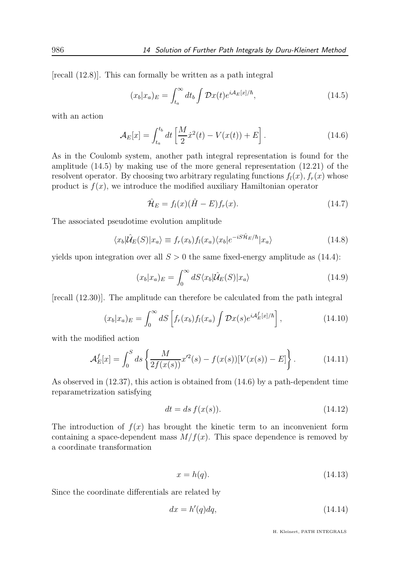[recall (12.8)]. This can formally be written as a path integral

$$
(x_b|x_a)_E = \int_{t_a}^{\infty} dt_b \int \mathcal{D}x(t)e^{i\mathcal{A}_E[x]/\hbar}, \qquad (14.5)
$$

with an action

$$
\mathcal{A}_E[x] = \int_{t_a}^{t_b} dt \left[ \frac{M}{2} \dot{x}^2(t) - V(x(t)) + E \right]. \tag{14.6}
$$

As in the Coulomb system, another path integral representation is found for the amplitude (14.5) by making use of the more general representation (12.21) of the resolvent operator. By choosing two arbitrary regulating functions  $f_l(x)$ ,  $f_r(x)$  whose product is  $f(x)$ , we introduce the modified auxiliary Hamiltonian operator

$$
\hat{\mathcal{H}}_E = f_l(x)(\hat{H} - E)f_r(x). \tag{14.7}
$$

The associated pseudotime evolution amplitude

$$
\langle x_b | \hat{\mathcal{U}}_E(S) | x_a \rangle \equiv f_r(x_b) f_l(x_a) \langle x_b | e^{-iS \hat{\mathcal{H}}_E/\hbar} | x_a \rangle \tag{14.8}
$$

yields upon integration over all  $S > 0$  the same fixed-energy amplitude as (14.4):

$$
(x_b|x_a)_E = \int_0^\infty dS \langle x_b|\hat{\mathcal{U}}_E(S)|x_a\rangle \tag{14.9}
$$

[recall (12.30)]. The amplitude can therefore be calculated from the path integral

$$
(x_b|x_a)_E = \int_0^\infty dS \left[ f_r(x_b) f_l(x_a) \int \mathcal{D}x(s) e^{iA_E^f[x]/\hbar} \right],\tag{14.10}
$$

with the modified action

$$
\mathcal{A}_E^f[x] = \int_0^S ds \left\{ \frac{M}{2f(x(s))} x'^2(s) - f(x(s)) [V(x(s)) - E] \right\}.
$$
 (14.11)

As observed in (12.37), this action is obtained from (14.6) by a path-dependent time reparametrization satisfying

$$
dt = ds f(x(s)).\tag{14.12}
$$

The introduction of  $f(x)$  has brought the kinetic term to an inconvenient form containing a space-dependent mass  $M/f(x)$ . This space dependence is removed by a coordinate transformation

$$
x = h(q). \tag{14.13}
$$

Since the coordinate differentials are related by

$$
dx = h'(q)dq,\t\t(14.14)
$$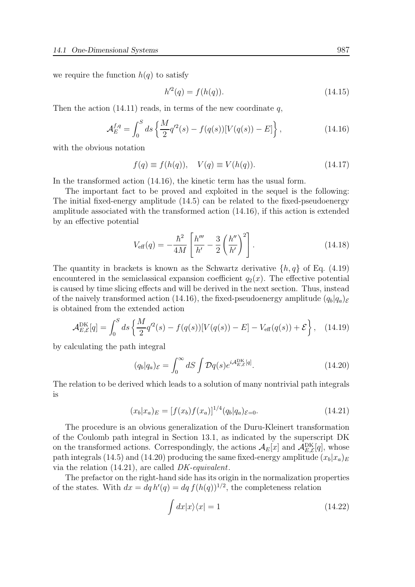we require the function  $h(q)$  to satisfy

$$
h'^2(q) = f(h(q)).
$$
\n(14.15)

Then the action  $(14.11)$  reads, in terms of the new coordinate q,

$$
\mathcal{A}_E^{f,q} = \int_0^S ds \left\{ \frac{M}{2} q'^2(s) - f(q(s)) [V(q(s)) - E] \right\},\tag{14.16}
$$

with the obvious notation

$$
f(q) \equiv f(h(q)), \quad V(q) \equiv V(h(q)). \tag{14.17}
$$

In the transformed action (14.16), the kinetic term has the usual form.

The important fact to be proved and exploited in the sequel is the following: The initial fixed-energy amplitude (14.5) can be related to the fixed-pseudoenergy amplitude associated with the transformed action (14.16), if this action is extended by an effective potential

$$
V_{\text{eff}}(q) = -\frac{\hbar^2}{4M} \left[ \frac{h'''}{h'} - \frac{3}{2} \left( \frac{h''}{h'} \right)^2 \right].
$$
 (14.18)

The quantity in brackets is known as the Schwartz derivative  $\{h, q\}$  of Eq. (4.19) encountered in the semiclassical expansion coefficient  $q_2(x)$ . The effective potential is caused by time slicing effects and will be derived in the next section. Thus, instead of the naively transformed action (14.16), the fixed-pseudoenergy amplitude  $(q_b|q_a)_{\mathcal{E}}$ is obtained from the extended action

$$
\mathcal{A}_{E,\mathcal{E}}^{\text{DK}}[q] = \int_0^S ds \left\{ \frac{M}{2} q'^2(s) - f(q(s)) [V(q(s)) - E] - V_{\text{eff}}(q(s)) + \mathcal{E} \right\}, \quad (14.19)
$$

by calculating the path integral

$$
(q_b|q_a)_{\mathcal{E}} = \int_0^\infty dS \int \mathcal{D}q(s)e^{i\mathcal{A}_{E,\mathcal{E}}^{\text{DK}}[q]}.
$$
 (14.20)

The relation to be derived which leads to a solution of many nontrivial path integrals is

$$
(x_b|x_a)_E = [f(x_b)f(x_a)]^{1/4} (q_b|q_a)_{\varepsilon=0}.
$$
\n(14.21)

The procedure is an obvious generalization of the Duru-Kleinert transformation of the Coulomb path integral in Section 13.1, as indicated by the superscript DK on the transformed actions. Correspondingly, the actions  $\mathcal{A}_E[x]$  and  $\mathcal{A}_{E,\mathcal{E}}^{\text{DK}}[q]$ , whose path integrals (14.5) and (14.20) producing the same fixed-energy amplitude  $(x_b|x_a)_E$ via the relation (14.21), are called DK-equivalent.

The prefactor on the right-hand side has its origin in the normalization properties of the states. With  $dx = dq h'(q) = dq f(h(q))^{1/2}$ , the completeness relation

$$
\int dx |x\rangle\langle x| = 1\tag{14.22}
$$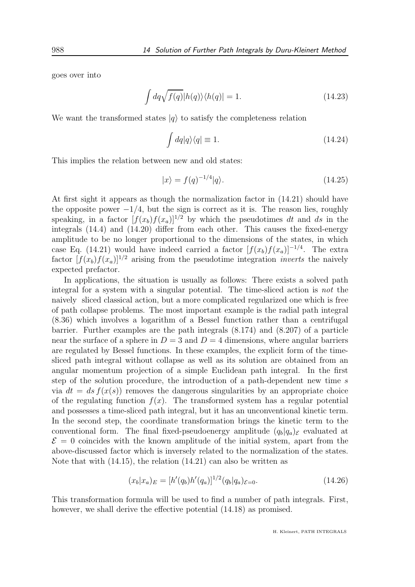goes over into

$$
\int dq \sqrt{f(q)} |h(q)\rangle \langle h(q)| = 1.
$$
\n(14.23)

We want the transformed states  $|q\rangle$  to satisfy the completeness relation

$$
\int dq |q\rangle\langle q| \equiv 1. \tag{14.24}
$$

This implies the relation between new and old states:

$$
|x\rangle = f(q)^{-1/4}|q\rangle. \tag{14.25}
$$

At first sight it appears as though the normalization factor in (14.21) should have the opposite power  $-1/4$ , but the sign is correct as it is. The reason lies, roughly speaking, in a factor  $[f(x_b)f(x_a)]^{1/2}$  by which the pseudotimes dt and ds in the integrals (14.4) and (14.20) differ from each other. This causes the fixed-energy amplitude to be no longer proportional to the dimensions of the states, in which case Eq. (14.21) would have indeed carried a factor  $[f(x_b)f(x_a)]^{-1/4}$ . The extra factor  $[f(x_b)f(x_a)]^{1/2}$  arising from the pseudotime integration *inverts* the naively expected prefactor.

In applications, the situation is usually as follows: There exists a solved path integral for a system with a singular potential. The time-sliced action is not the naively sliced classical action, but a more complicated regularized one which is free of path collapse problems. The most important example is the radial path integral (8.36) which involves a logarithm of a Bessel function rather than a centrifugal barrier. Further examples are the path integrals (8.174) and (8.207) of a particle near the surface of a sphere in  $D = 3$  and  $D = 4$  dimensions, where angular barriers are regulated by Bessel functions. In these examples, the explicit form of the timesliced path integral without collapse as well as its solution are obtained from an angular momentum projection of a simple Euclidean path integral. In the first step of the solution procedure, the introduction of a path-dependent new time s via  $dt = ds f(x(s))$  removes the dangerous singularities by an appropriate choice of the regulating function  $f(x)$ . The transformed system has a regular potential and possesses a time-sliced path integral, but it has an unconventional kinetic term. In the second step, the coordinate transformation brings the kinetic term to the conventional form. The final fixed-pseudoenergy amplitude  $(q_b|q_a)$ <sub> $\epsilon$ </sub> evaluated at  $\mathcal{E} = 0$  coincides with the known amplitude of the initial system, apart from the above-discussed factor which is inversely related to the normalization of the states. Note that with (14.15), the relation (14.21) can also be written as

$$
(x_b|x_a)_E = [h'(q_b)h'(q_a)]^{1/2}(q_b|q_a)_{\mathcal{E}=0}.
$$
\n(14.26)

This transformation formula will be used to find a number of path integrals. First, however, we shall derive the effective potential  $(14.18)$  as promised.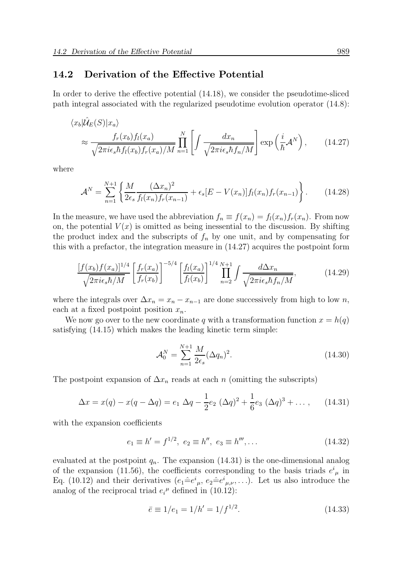#### 14.2 Derivation of the Effective Potential

In order to derive the effective potential (14.18), we consider the pseudotime-sliced path integral associated with the regularized pseudotime evolution operator (14.8):

$$
\langle x_b | \hat{\mathcal{U}}_E(S) | x_a \rangle
$$
  
\n
$$
\approx \frac{f_r(x_b) f_l(x_a)}{\sqrt{2\pi i \epsilon_s \hbar f_l(x_b) f_r(x_a)/M}} \prod_{n=1}^N \left[ \int \frac{dx_n}{\sqrt{2\pi i \epsilon_s \hbar f_n/M}} \right] \exp\left(\frac{i}{\hbar} \mathcal{A}^N\right), \qquad (14.27)
$$

where

$$
\mathcal{A}^N = \sum_{n=1}^{N+1} \left\{ \frac{M}{2\epsilon_s} \frac{(\Delta x_n)^2}{f_l(x_n) f_r(x_{n-1})} + \epsilon_s [E - V(x_n)] f_l(x_n) f_r(x_{n-1}) \right\}.
$$
 (14.28)

In the measure, we have used the abbreviation  $f_n \equiv f(x_n) = f_l(x_n) f_r(x_n)$ . From now on, the potential  $V(x)$  is omitted as being inessential to the discussion. By shifting the product index and the subscripts of  $f_n$  by one unit, and by compensating for this with a prefactor, the integration measure in (14.27) acquires the postpoint form

$$
\frac{\left[f(x_b)f(x_a)\right]^{1/4}}{\sqrt{2\pi i\epsilon_s\hbar/M}} \left[\frac{f_r(x_a)}{f_r(x_b)}\right]^{-5/4} \left[\frac{f_l(x_a)}{f_l(x_b)}\right]^{1/4} \prod_{n=2}^{N+1} \int \frac{d\Delta x_n}{\sqrt{2\pi i\epsilon_s\hbar f_n/M}},\tag{14.29}
$$

where the integrals over  $\Delta x_n = x_n - x_{n-1}$  are done successively from high to low n, each at a fixed postpoint position  $x_n$ .

We now go over to the new coordinate q with a transformation function  $x = h(q)$ satisfying (14.15) which makes the leading kinetic term simple:

$$
\mathcal{A}_0^N = \sum_{n=1}^{N+1} \frac{M}{2\epsilon_s} (\Delta q_n)^2.
$$
 (14.30)

The postpoint expansion of  $\Delta x_n$  reads at each n (omitting the subscripts)

$$
\Delta x = x(q) - x(q - \Delta q) = e_1 \, \Delta q - \frac{1}{2} e_2 \, (\Delta q)^2 + \frac{1}{6} e_3 \, (\Delta q)^3 + \dots, \qquad (14.31)
$$

with the expansion coefficients

$$
e_1 \equiv h' = f^{1/2}, \ e_2 \equiv h'', \ e_3 \equiv h''', \dots \tag{14.32}
$$

evaluated at the postpoint  $q_n$ . The expansion (14.31) is the one-dimensional analog of the expansion (11.56), the coefficients corresponding to the basis triads  $e^{i}_{\mu}$  in Eq. (10.12) and their derivatives  $(e_1 \hat{=} e^i_{\mu}, e_2 \hat{=} e^i_{\mu,\nu}, \ldots)$ . Let us also introduce the analog of the reciprocal triad  $e_i^{\mu}$  defined in (10.12):

$$
\bar{e} \equiv 1/e_1 = 1/h' = 1/f^{1/2}.
$$
 (14.33)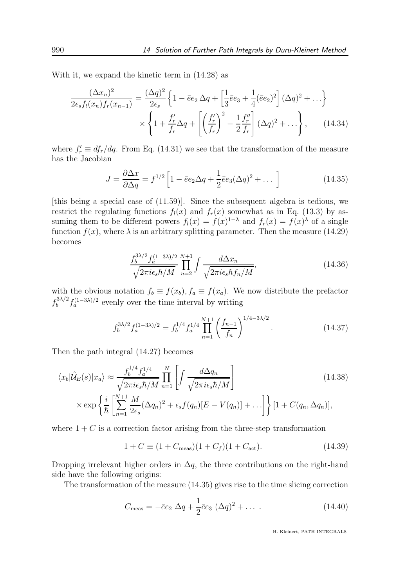With it, we expand the kinetic term in (14.28) as

$$
\frac{(\Delta x_n)^2}{2\epsilon_s f_l(x_n)f_r(x_{n-1})} = \frac{(\Delta q)^2}{2\epsilon_s} \left\{ 1 - \bar{e}e_2 \,\Delta q + \left[ \frac{1}{3}\bar{e}e_3 + \frac{1}{4}(\bar{e}e_2)^2 \right] (\Delta q)^2 + \ldots \right\}
$$
\n
$$
\times \left\{ 1 + \frac{f'_r}{f_r} \Delta q + \left[ \left(\frac{f'_r}{f_r}\right)^2 - \frac{1}{2}\frac{f''_r}{f_r} \right] (\Delta q)^2 + \ldots \right\}, \qquad (14.34)
$$

where  $f'_r \equiv df_r/dq$ . From Eq. (14.31) we see that the transformation of the measure has the Jacobian

$$
J = \frac{\partial \Delta x}{\partial \Delta q} = f^{1/2} \left[ 1 - \bar{e}e_2 \Delta q + \frac{1}{2} \bar{e}e_3 (\Delta q)^2 + \dots \right]
$$
 (14.35)

[this being a special case of (11.59)]. Since the subsequent algebra is tedious, we restrict the regulating functions  $f_l(x)$  and  $f_r(x)$  somewhat as in Eq. (13.3) by assuming them to be different powers  $f_l(x) = f(x)^{1-\lambda}$  and  $f_r(x) = f(x)^{\lambda}$  of a single function  $f(x)$ , where  $\lambda$  is an arbitrary splitting parameter. Then the measure (14.29) becomes

$$
\frac{f_b^{3\lambda/2} f_a^{(1-3\lambda)/2}}{\sqrt{2\pi i \epsilon_s \hbar/M}} \prod_{n=2}^{N+1} \int \frac{d\Delta x_n}{\sqrt{2\pi i \epsilon_s \hbar f_n/M}},
$$
(14.36)

with the obvious notation  $f_b \equiv f(x_b)$ ,  $f_a \equiv f(x_a)$ . We now distribute the prefactor  $f_b^{3\lambda/2}$  $\int_b^{3\lambda/2} f_a^{(1-3\lambda)/2}$  evenly over the time interval by writing

$$
f_b^{3\lambda/2} f_a^{(1-3\lambda)/2} = f_b^{1/4} f_a^{1/4} \prod_{n=1}^{N+1} \left(\frac{f_{n-1}}{f_n}\right)^{1/4-3\lambda/2}.\tag{14.37}
$$

Then the path integral (14.27) becomes

$$
\langle x_b | \hat{\mathcal{U}}_E(s) | x_a \rangle \approx \frac{f_b^{1/4} f_a^{1/4}}{\sqrt{2\pi i \epsilon_s \hbar / M}} \prod_{n=1}^N \left[ \int \frac{d\Delta q_n}{\sqrt{2\pi i \epsilon_s \hbar / M}} \right]
$$
  
 
$$
\times \exp \left\{ \frac{i}{\hbar} \left[ \sum_{n=1}^{N+1} \frac{M}{2\epsilon_s} (\Delta q_n)^2 + \epsilon_s f(q_n) [E - V(q_n)] + \ldots \right] \right\} [1 + C(q_n, \Delta q_n)],
$$
 (14.38)

where  $1 + C$  is a correction factor arising from the three-step transformation

$$
1 + C \equiv (1 + C_{\text{meas}})(1 + C_f)(1 + C_{\text{act}}). \tag{14.39}
$$

Dropping irrelevant higher orders in  $\Delta q$ , the three contributions on the right-hand side have the following origins:

The transformation of the measure (14.35) gives rise to the time slicing correction

$$
C_{\text{meas}} = -\bar{e}e_2 \ \Delta q + \frac{1}{2}\bar{e}e_3 \ (\Delta q)^2 + \dots \ . \tag{14.40}
$$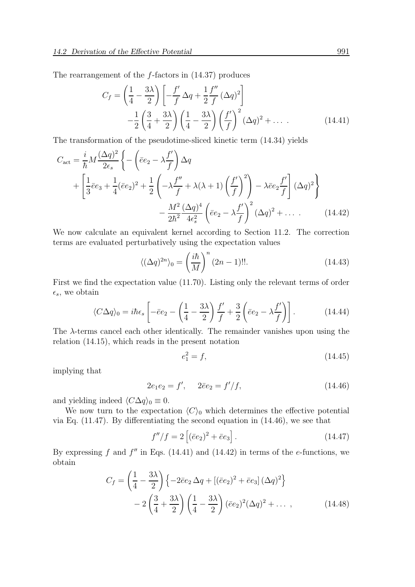The rearrangement of the f-factors in (14.37) produces

$$
C_f = \left(\frac{1}{4} - \frac{3\lambda}{2}\right) \left[ -\frac{f'}{f} \Delta q + \frac{1}{2} \frac{f''}{f} (\Delta q)^2 \right]
$$

$$
-\frac{1}{2} \left(\frac{3}{4} + \frac{3\lambda}{2}\right) \left(\frac{1}{4} - \frac{3\lambda}{2}\right) \left(\frac{f'}{f}\right)^2 (\Delta q)^2 + \dots \tag{14.41}
$$

The transformation of the pseudotime-sliced kinetic term (14.34) yields

$$
C_{\text{act}} = \frac{i}{\hbar} M \frac{(\Delta q)^2}{2\epsilon_s} \left\{ -\left(\bar{e}e_2 - \lambda \frac{f'}{f}\right) \Delta q \right.+ \left[ \frac{1}{3} \bar{e}e_3 + \frac{1}{4} (\bar{e}e_2)^2 + \frac{1}{2} \left( -\lambda \frac{f''}{f} + \lambda (\lambda + 1) \left( \frac{f'}{f} \right)^2 \right) - \lambda \bar{e}e_2 \frac{f'}{f} \right] (\Delta q)^2 \right\}- \frac{M^2}{2\hbar^2} \frac{(\Delta q)^4}{4\epsilon_s^2} \left( \bar{e}e_2 - \lambda \frac{f'}{f} \right)^2 (\Delta q)^2 + \dots
$$
 (14.42)

We now calculate an equivalent kernel according to Section 11.2. The correction terms are evaluated perturbatively using the expectation values

$$
\langle (\Delta q)^{2n} \rangle_0 = \left(\frac{i\hbar}{M}\right)^n (2n-1)!!.
$$
 (14.43)

First we find the expectation value (11.70). Listing only the relevant terms of order  $\epsilon_s$ , we obtain

$$
\langle C\Delta q \rangle_0 = i\hbar \epsilon_s \left[ -\bar{e}e_2 - \left( \frac{1}{4} - \frac{3\lambda}{2} \right) \frac{f'}{f} + \frac{3}{2} \left( \bar{e}e_2 - \lambda \frac{f'}{f} \right) \right]. \tag{14.44}
$$

The  $\lambda$ -terms cancel each other identically. The remainder vanishes upon using the relation (14.15), which reads in the present notation

$$
e_1^2 = f,\t\t(14.45)
$$

implying that

$$
2e_1e_2 = f', \quad 2\bar{e}e_2 = f'/f, \tag{14.46}
$$

and yielding indeed  $\langle C\Delta q\rangle_0 \equiv 0$ .

We now turn to the expectation  $\langle C \rangle_0$  which determines the effective potential via Eq. (11.47). By differentiating the second equation in (14.46), we see that

$$
f''/f = 2\left[ (\bar{e}e_2)^2 + \bar{e}e_3 \right]. \tag{14.47}
$$

By expressing f and  $f''$  in Eqs. (14.41) and (14.42) in terms of the e-functions, we obtain

$$
C_f = \left(\frac{1}{4} - \frac{3\lambda}{2}\right) \left\{-2\bar{e}e_2\,\Delta q + \left[(\bar{e}e_2)^2 + \bar{e}e_3\right](\Delta q)^2\right\}
$$

$$
-2\left(\frac{3}{4} + \frac{3\lambda}{2}\right) \left(\frac{1}{4} - \frac{3\lambda}{2}\right) (\bar{e}e_2)^2 (\Delta q)^2 + \dots \,, \tag{14.48}
$$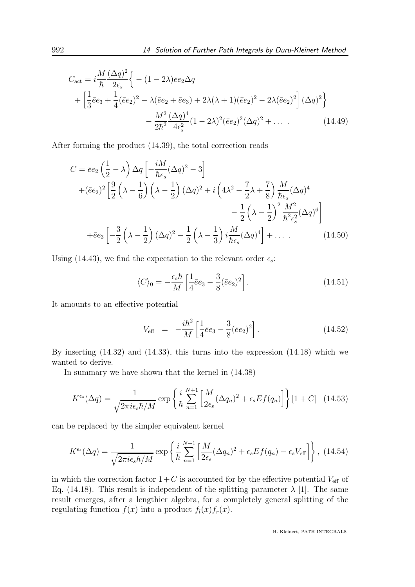$$
C_{\text{act}} = i \frac{M}{\hbar} \frac{(\Delta q)^2}{2\epsilon_s} \Big\{ -(1 - 2\lambda)\bar{e}e_2 \Delta q
$$
  
+  $\Big[\frac{1}{3}\bar{e}e_3 + \frac{1}{4}(\bar{e}e_2)^2 - \lambda(\bar{e}e_2 + \bar{e}e_3) + 2\lambda(\lambda + 1)(\bar{e}e_2)^2 - 2\lambda(\bar{e}e_2)^2 \Big] (\Delta q)^2 \Big\}$   
-  $\frac{M^2}{2\hbar^2} \frac{(\Delta q)^4}{4\epsilon_s^2} (1 - 2\lambda)^2 (\bar{e}e_2)^2 (\Delta q)^2 + \dots$  (14.49)

After forming the product (14.39), the total correction reads

$$
C = \bar{e}e_2 \left(\frac{1}{2} - \lambda\right) \Delta q \left[ -\frac{iM}{\hbar\epsilon_s} (\Delta q)^2 - 3 \right]
$$
  
+ $(\bar{e}e_2)^2 \left[ \frac{9}{2} \left(\lambda - \frac{1}{6}\right) \left(\lambda - \frac{1}{2}\right) (\Delta q)^2 + i \left(4\lambda^2 - \frac{7}{2}\lambda + \frac{7}{8}\right) \frac{M}{\hbar\epsilon_s} (\Delta q)^4$   
- $\frac{1}{2} \left(\lambda - \frac{1}{2}\right)^2 \frac{M^2}{\hbar^2 \epsilon_s^2} (\Delta q)^6 \right]$   
+ $\bar{e}e_3 \left[ -\frac{3}{2} \left(\lambda - \frac{1}{2}\right) (\Delta q)^2 - \frac{1}{2} \left(\lambda - \frac{1}{3}\right) i \frac{M}{\hbar\epsilon_s} (\Delta q)^4 \right] + \dots$  (14.50)

Using (14.43), we find the expectation to the relevant order  $\epsilon_s$ :

$$
\langle C \rangle_0 = -\frac{\epsilon_s \hbar}{M} \left[ \frac{1}{4} \bar{e} e_3 - \frac{3}{8} (\bar{e} e_2)^2 \right]. \tag{14.51}
$$

It amounts to an effective potential

$$
V_{\text{eff}} = -\frac{i\hbar^2}{M} \left[ \frac{1}{4}\bar{e}e_3 - \frac{3}{8}(\bar{e}e_2)^2 \right]. \tag{14.52}
$$

By inserting (14.32) and (14.33), this turns into the expression (14.18) which we wanted to derive.

In summary we have shown that the kernel in (14.38)

$$
K^{\epsilon_s}(\Delta q) = \frac{1}{\sqrt{2\pi i \epsilon_s \hbar/M}} \exp\left\{\frac{i}{\hbar} \sum_{n=1}^{N+1} \left[ \frac{M}{2\epsilon_s} (\Delta q_n)^2 + \epsilon_s E f(q_n) \right] \right\} [1 + C] \quad (14.53)
$$

can be replaced by the simpler equivalent kernel

$$
K^{\epsilon_s}(\Delta q) = \frac{1}{\sqrt{2\pi i \epsilon_s \hbar/M}} \exp\left\{\frac{i}{\hbar} \sum_{n=1}^{N+1} \left[ \frac{M}{2\epsilon_s} (\Delta q_n)^2 + \epsilon_s E f(q_n) - \epsilon_s V_{\text{eff}} \right] \right\}, (14.54)
$$

in which the correction factor  $1+C$  is accounted for by the effective potential  $V_{\text{eff}}$  of Eq. (14.18). This result is independent of the splitting parameter  $\lambda$  [1]. The same result emerges, after a lengthier algebra, for a completely general splitting of the regulating function  $f(x)$  into a product  $f_l(x)f_r(x)$ .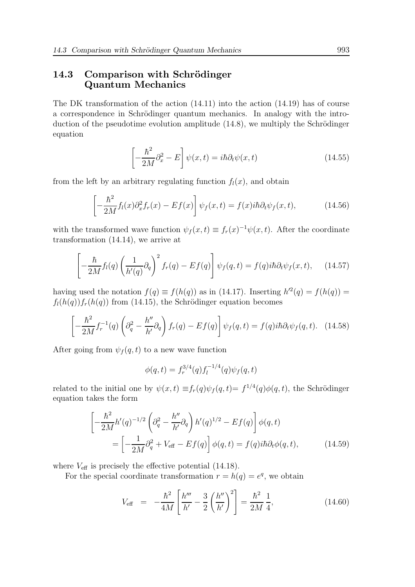## 14.3 Comparison with Schrödinger Quantum Mechanics

The DK transformation of the action (14.11) into the action (14.19) has of course a correspondence in Schrödinger quantum mechanics. In analogy with the introduction of the pseudotime evolution amplitude  $(14.8)$ , we multiply the Schrödinger equation

$$
\left[-\frac{\hbar^2}{2M}\partial_x^2 - E\right]\psi(x,t) = i\hbar\partial_t\psi(x,t)
$$
\n(14.55)

from the left by an arbitrary regulating function  $f_l(x)$ , and obtain

$$
\left[-\frac{\hbar^2}{2M}f_l(x)\partial_x^2 f_r(x) - Ef(x)\right]\psi_f(x,t) = f(x)i\hbar\partial_t\psi_f(x,t),\tag{14.56}
$$

with the transformed wave function  $\psi_f(x,t) \equiv f_r(x)^{-1} \psi(x,t)$ . After the coordinate transformation (14.14), we arrive at

$$
\left[ -\frac{\hbar}{2M} f_l(q) \left( \frac{1}{h'(q)} \partial_q \right)^2 f_r(q) - E f(q) \right] \psi_f(q, t) = f(q) i\hbar \partial_t \psi_f(x, t), \quad (14.57)
$$

having used the notation  $f(q) \equiv f(h(q))$  as in (14.17). Inserting  $h'^2(q) = f(h(q))$  =  $f_l(h(q))f_r(h(q))$  from (14.15), the Schrödinger equation becomes

$$
\left[-\frac{\hbar^2}{2M}f_r^{-1}(q)\left(\partial_q^2 - \frac{h''}{h'}\partial_q\right)f_r(q) - Ef(q)\right]\psi_f(q,t) = f(q)i\hbar\partial_t\psi_f(q,t). \quad (14.58)
$$

After going from  $\psi_f(q, t)$  to a new wave function

$$
\phi(q,t) = f_r^{3/4}(q) f_l^{-1/4}(q) \psi_f(q,t)
$$

related to the initial one by  $\psi(x,t) \equiv f_r(q)\psi_f(q,t) = f^{1/4}(q)\phi(q,t)$ , the Schrödinger equation takes the form

$$
\begin{aligned}\n\left[-\frac{\hbar^2}{2M}h'(q)^{-1/2}\left(\partial_q^2 - \frac{h''}{h'}\partial_q\right)h'(q)^{1/2} - Ef(q)\right]\phi(q,t) \\
= \left[-\frac{1}{2M}\partial_q^2 + V_{\text{eff}} - Ef(q)\right]\phi(q,t) = f(q)i\hbar\partial_t\phi(q,t),\n\end{aligned} \tag{14.59}
$$

where  $V_{\text{eff}}$  is precisely the effective potential (14.18).

For the special coordinate transformation  $r = h(q) = e^q$ , we obtain

$$
V_{\text{eff}} = -\frac{\hbar^2}{4M} \left[ \frac{h'''}{h'} - \frac{3}{2} \left( \frac{h''}{h'} \right)^2 \right] = \frac{\hbar^2}{2M} \frac{1}{4},\tag{14.60}
$$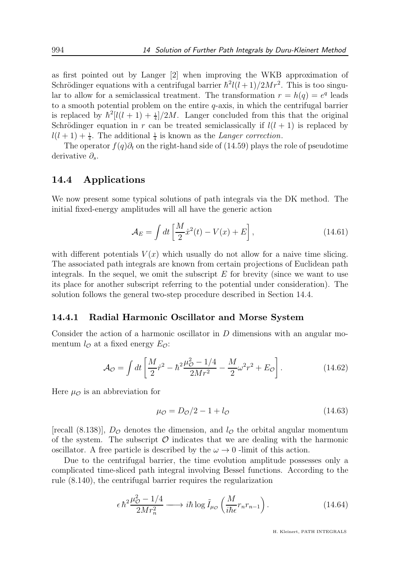as first pointed out by Langer [2] when improving the WKB approximation of Schrödinger equations with a centrifugal barrier  $\hbar^2 l(l+1)/2Mr^2$ . This is too singular to allow for a semiclassical treatment. The transformation  $r = h(q) = e^q$  leads to a smooth potential problem on the entire q-axis, in which the centrifugal barrier is replaced by  $\hbar^2[l(l+1)+\frac{1}{4}]/2M$ . Langer concluded from this that the original Schrödinger equation in r can be treated semiclassically if  $l(l + 1)$  is replaced by  $l(l+1)+\frac{1}{4}$ . The additional  $\frac{1}{4}$  is known as the *Langer correction*.

The operator  $f(q)\partial_t$  on the right-hand side of (14.59) plays the role of pseudotime derivative  $\partial_s$ .

### 14.4 Applications

We now present some typical solutions of path integrals via the DK method. The initial fixed-energy amplitudes will all have the generic action

$$
\mathcal{A}_E = \int dt \left[ \frac{M}{2} \dot{x}^2(t) - V(x) + E \right],\tag{14.61}
$$

with different potentials  $V(x)$  which usually do not allow for a naive time slicing. The associated path integrals are known from certain projections of Euclidean path integrals. In the sequel, we omit the subscript  $E$  for brevity (since we want to use its place for another subscript referring to the potential under consideration). The solution follows the general two-step procedure described in Section 14.4.

#### 14.4.1 Radial Harmonic Oscillator and Morse System

Consider the action of a harmonic oscillator in  $D$  dimensions with an angular momentum  $l_{\mathcal{O}}$  at a fixed energy  $E_{\mathcal{O}}$ :

$$
\mathcal{A}_{\mathcal{O}} = \int dt \left[ \frac{M}{2} \dot{r}^2 - \hbar^2 \frac{\mu_{\mathcal{O}}^2 - 1/4}{2Mr^2} - \frac{M}{2} \omega^2 r^2 + E_{\mathcal{O}} \right].
$$
 (14.62)

Here  $\mu_{\mathcal{O}}$  is an abbreviation for

$$
\mu_{\mathcal{O}} = D_{\mathcal{O}}/2 - 1 + l_{\mathcal{O}} \tag{14.63}
$$

[recall (8.138)],  $D_{\mathcal{O}}$  denotes the dimension, and  $l_{\mathcal{O}}$  the orbital angular momentum of the system. The subscript  $\mathcal O$  indicates that we are dealing with the harmonic oscillator. A free particle is described by the  $\omega \to 0$  -limit of this action.

Due to the centrifugal barrier, the time evolution amplitude possesses only a complicated time-sliced path integral involving Bessel functions. According to the rule (8.140), the centrifugal barrier requires the regularization

$$
\epsilon \hbar^2 \frac{\mu_{\mathcal{O}}^2 - 1/4}{2Mr_n^2} \longrightarrow i\hbar \log \tilde{I}_{\mu_{\mathcal{O}}} \left( \frac{M}{i\hbar \epsilon} r_n r_{n-1} \right). \tag{14.64}
$$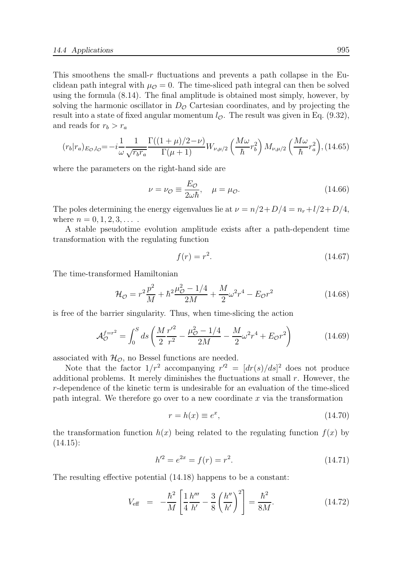This smoothens the small-r fluctuations and prevents a path collapse in the Euclidean path integral with  $\mu_{\mathcal{O}} = 0$ . The time-sliced path integral can then be solved using the formula (8.14). The final amplitude is obtained most simply, however, by solving the harmonic oscillator in  $D_{\mathcal{O}}$  Cartesian coordinates, and by projecting the result into a state of fixed angular momentum  $l_{\mathcal{O}}$ . The result was given in Eq. (9.32), and reads for  $r_b > r_a$ 

$$
(r_b|r_a)_{E_O, l_O} = -i\frac{1}{\omega} \frac{1}{\sqrt{r_b r_a}} \frac{\Gamma((1+\mu)/2-\nu)}{\Gamma(\mu+1)} W_{\nu,\mu/2} \left(\frac{M\omega}{\hbar} r_b^2\right) M_{\nu,\mu/2} \left(\frac{M\omega}{\hbar} r_a^2\right), (14.65)
$$

where the parameters on the right-hand side are

$$
\nu = \nu_{\mathcal{O}} \equiv \frac{E_{\mathcal{O}}}{2\omega\hbar}, \quad \mu = \mu_{\mathcal{O}}.\tag{14.66}
$$

The poles determining the energy eigenvalues lie at  $\nu = n/2 + D/4 = n_r + l/2 + D/4$ , where  $n = 0, 1, 2, 3, \ldots$ .

A stable pseudotime evolution amplitude exists after a path-dependent time transformation with the regulating function

$$
f(r) = r^2. \tag{14.67}
$$

The time-transformed Hamiltonian

$$
\mathcal{H}_{\mathcal{O}} = r^2 \frac{p^2}{M} + \hbar^2 \frac{\mu_{\mathcal{O}}^2 - 1/4}{2M} + \frac{M}{2} \omega^2 r^4 - E_{\mathcal{O}} r^2 \tag{14.68}
$$

is free of the barrier singularity. Thus, when time-slicing the action

$$
\mathcal{A}_{\mathcal{O}}^{f=r^2} = \int_0^S ds \left( \frac{M}{2} \frac{r'^2}{r^2} - \frac{\mu_{\mathcal{O}}^2 - 1/4}{2M} - \frac{M}{2} \omega^2 r^4 + E_{\mathcal{O}} r^2 \right) \tag{14.69}
$$

associated with  $\mathcal{H}_{\mathcal{O}}$ , no Bessel functions are needed.

Note that the factor  $1/r^2$  accompanying  $r'^2 = [dr(s)/ds]^2$  does not produce additional problems. It merely diminishes the fluctuations at small  $r$ . However, the r-dependence of the kinetic term is undesirable for an evaluation of the time-sliced path integral. We therefore go over to a new coordinate  $x$  via the transformation

$$
r = h(x) \equiv e^x,\tag{14.70}
$$

the transformation function  $h(x)$  being related to the regulating function  $f(x)$  by  $(14.15):$ 

$$
h'^2 = e^{2x} = f(r) = r^2.
$$
\n(14.71)

The resulting effective potential (14.18) happens to be a constant:

$$
V_{\text{eff}} = -\frac{\hbar^2}{M} \left[ \frac{1}{4} \frac{h'''}{h'} - \frac{3}{8} \left( \frac{h''}{h'} \right)^2 \right] = \frac{\hbar^2}{8M}.
$$
 (14.72)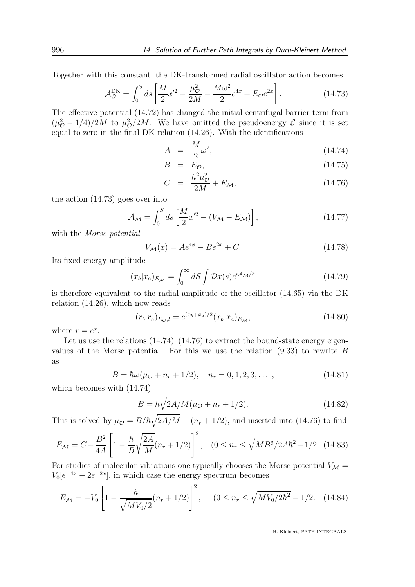Together with this constant, the DK-transformed radial oscillator action becomes

$$
\mathcal{A}_{\mathcal{O}}^{\text{DK}} = \int_0^S ds \left[ \frac{M}{2} x'^2 - \frac{\mu_{\mathcal{O}}^2}{2M} - \frac{M\omega^2}{2} e^{4x} + E_{\mathcal{O}} e^{2x} \right]. \tag{14.73}
$$

The effective potential (14.72) has changed the initial centrifugal barrier term from  $(\mu_{\mathcal{O}}^2 - 1/4)/2M$  to  $\mu_{\mathcal{O}}^2/2M$ . We have omitted the pseudoenergy  $\mathcal{E}$  since it is set equal to zero in the final DK relation (14.26). With the identifications

$$
A = \frac{M}{2}\omega^2, \qquad (14.74)
$$

$$
B = E_{\mathcal{O}}, \tag{14.75}
$$

$$
C = \frac{\hbar^2 \mu_{\mathcal{O}}^2}{2M} + E_{\mathcal{M}}, \tag{14.76}
$$

the action (14.73) goes over into

$$
\mathcal{A}_{\mathcal{M}} = \int_0^S ds \left[ \frac{M}{2} x^2 - (V_{\mathcal{M}} - E_{\mathcal{M}}) \right], \tag{14.77}
$$

with the Morse potential

$$
V_{\mathcal{M}}(x) = Ae^{4x} - Be^{2x} + C.
$$
 (14.78)

Its fixed-energy amplitude

$$
(x_b|x_a)_{E_{\mathcal{M}}} = \int_0^\infty dS \int \mathcal{D}x(s)e^{i\mathcal{A}_{\mathcal{M}}/\hbar}
$$
(14.79)

is therefore equivalent to the radial amplitude of the oscillator (14.65) via the DK relation (14.26), which now reads

$$
(r_b|r_a)_{E_O,l} = e^{(x_b+x_a)/2}(x_b|x_a)_{E_M},
$$
\n(14.80)

where  $r = e^x$ .

Let us use the relations  $(14.74)$ – $(14.76)$  to extract the bound-state energy eigenvalues of the Morse potential. For this we use the relation (9.33) to rewrite B as

$$
B = \hbar\omega(\mu_0 + n_r + 1/2), \quad n_r = 0, 1, 2, 3, \dots,
$$
 (14.81)

which becomes with (14.74)

$$
B = \hbar \sqrt{2A/M} (\mu_{\mathcal{O}} + n_r + 1/2). \tag{14.82}
$$

This is solved by  $\mu_{\mathcal{O}} = B/\hbar \sqrt{2A/M} - (n_r + 1/2)$ , and inserted into (14.76) to find

$$
E_{\mathcal{M}} = C - \frac{B^2}{4A} \left[ 1 - \frac{\hbar}{B} \sqrt{\frac{2A}{M}} (n_r + 1/2) \right]^2, \quad (0 \le n_r \le \sqrt{MB^2 / 2A\hbar^2} - 1/2. \tag{14.83}
$$

For studies of molecular vibrations one typically chooses the Morse potential  $V_{\mathcal{M}} =$  $V_0[e^{-4x} - 2e^{-2x}]$ , in which case the energy spectrum becomes

$$
E_{\mathcal{M}} = -V_0 \left[ 1 - \frac{\hbar}{\sqrt{MV_0/2}} (n_r + 1/2) \right]^2, \quad (0 \le n_r \le \sqrt{MV_0/2\hbar^2} - 1/2. \quad (14.84)
$$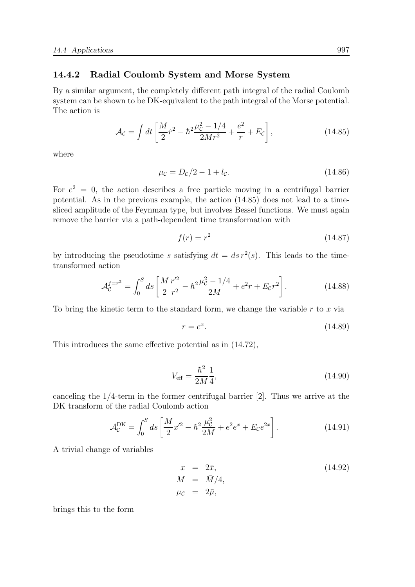#### 14.4.2 Radial Coulomb System and Morse System

By a similar argument, the completely different path integral of the radial Coulomb system can be shown to be DK-equivalent to the path integral of the Morse potential. The action is

$$
\mathcal{A}_{\mathcal{C}} = \int dt \left[ \frac{M}{2} \dot{r}^2 - \hbar^2 \frac{\mu_c^2 - 1/4}{2Mr^2} + \frac{e^2}{r} + E_{\mathcal{C}} \right],\tag{14.85}
$$

where

$$
\mu_{\mathcal{C}} = D_{\mathcal{C}}/2 - 1 + l_{\mathcal{C}}.\tag{14.86}
$$

For  $e^2 = 0$ , the action describes a free particle moving in a centrifugal barrier potential. As in the previous example, the action (14.85) does not lead to a timesliced amplitude of the Feynman type, but involves Bessel functions. We must again remove the barrier via a path-dependent time transformation with

$$
f(r) = r^2 \tag{14.87}
$$

by introducing the pseudotime s satisfying  $dt = ds r^2(s)$ . This leads to the timetransformed action

$$
\mathcal{A}_{\mathcal{C}}^{f=r^2} = \int_0^S ds \left[ \frac{M r'^2}{2 r^2} - \hbar^2 \frac{\mu_{\mathcal{C}}^2 - 1/4}{2M} + e^2 r + E_{\mathcal{C}} r^2 \right]. \tag{14.88}
$$

To bring the kinetic term to the standard form, we change the variable  $r$  to  $x$  via

$$
r = e^x. \tag{14.89}
$$

This introduces the same effective potential as in (14.72),

$$
V_{\text{eff}} = \frac{\hbar^2}{2M} \frac{1}{4},\tag{14.90}
$$

canceling the 1/4-term in the former centrifugal barrier [2]. Thus we arrive at the DK transform of the radial Coulomb action

$$
\mathcal{A}_{\mathcal{C}}^{\text{DK}} = \int_0^S ds \left[ \frac{M}{2} x'^2 - \hbar^2 \frac{\mu_{\mathcal{C}}^2}{2M} + e^2 e^x + E_{\mathcal{C}} e^{2x} \right]. \tag{14.91}
$$

A trivial change of variables

$$
x = 2\bar{x},
$$
  
\n
$$
M = \bar{M}/4,
$$
  
\n
$$
\mu_c = 2\bar{\mu},
$$
\n(14.92)

brings this to the form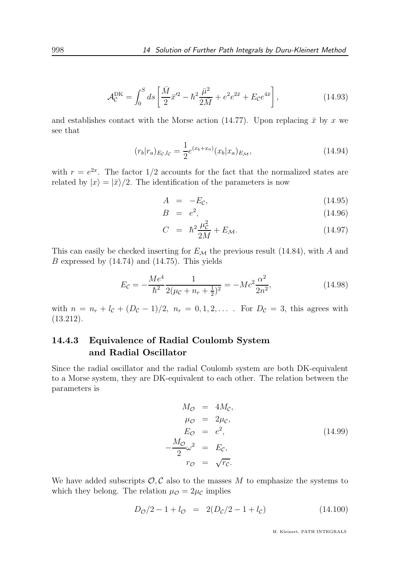$$
\mathcal{A}_{\mathcal{C}}^{\text{DK}} = \int_0^S ds \left[ \frac{\bar{M}}{2} \bar{x}'^2 - \hbar^2 \frac{\bar{\mu}^2}{2\bar{M}} + e^2 e^{2\bar{x}} + E_{\mathcal{C}} e^{4\bar{x}} \right],\tag{14.93}
$$

and establishes contact with the Morse action (14.77). Upon replacing  $\bar{x}$  by x we see that

$$
(r_b|r_a)_{E_c,l_c} = \frac{1}{2}e^{(x_b+x_a)}(x_b|x_a)_{E_M},
$$
\n(14.94)

with  $r = e^{2x}$ . The factor 1/2 accounts for the fact that the normalized states are related by  $|x\rangle = |\bar{x}\rangle/2$ . The identification of the parameters is now

$$
A = -E_c, \t(14.95)
$$

$$
B = e^2, \tag{14.96}
$$

$$
C = \hbar^2 \frac{\mu_c^2}{2M} + E_{\mathcal{M}}.
$$
 (14.97)

This can easily be checked inserting for  $E_{\mathcal{M}}$  the previous result (14.84), with A and  $B$  expressed by  $(14.74)$  and  $(14.75)$ . This yields

$$
E_{\mathcal{C}} = -\frac{Me^4}{\hbar^2} \frac{1}{2(\mu_{\mathcal{C}} + n_r + \frac{1}{2})^2} = -Mc^2 \frac{\alpha^2}{2n^2},\tag{14.98}
$$

with  $n = n_r + l_c + (D_c - 1)/2$ ,  $n_r = 0, 1, 2, \ldots$ . For  $D_c = 3$ , this agrees with (13.212).

## 14.4.3 Equivalence of Radial Coulomb System and Radial Oscillator

Since the radial oscillator and the radial Coulomb system are both DK-equivalent to a Morse system, they are DK-equivalent to each other. The relation between the parameters is

$$
M_{\mathcal{O}} = 4M_{\mathcal{C}},
$$
  
\n
$$
\mu_{\mathcal{O}} = 2\mu_{\mathcal{C}},
$$
  
\n
$$
E_{\mathcal{O}} = e^2,
$$
  
\n
$$
-\frac{M_{\mathcal{O}}}{2}\omega^2 = E_{\mathcal{C}},
$$
  
\n
$$
r_{\mathcal{O}} = \sqrt{r_{\mathcal{C}}}.
$$
\n(14.99)

We have added subscripts  $\mathcal{O}, \mathcal{C}$  also to the masses M to emphasize the systems to which they belong. The relation  $\mu_{\mathcal{O}} = 2\mu_{\mathcal{C}}$  implies

$$
D_{\mathcal{O}}/2 - 1 + l_{\mathcal{O}} = 2(D_{\mathcal{C}}/2 - 1 + l_{\mathcal{C}})
$$
 (14.100)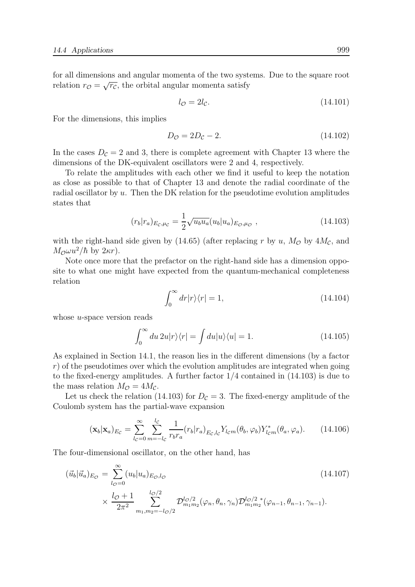for all dimensions and angular momenta of the two systems. Due to the square root relation  $r_{\mathcal{O}} = \sqrt{r_{\mathcal{C}}}$ , the orbital angular momenta satisfy

$$
l_{\mathcal{O}} = 2l_{\mathcal{C}}.\tag{14.101}
$$

For the dimensions, this implies

$$
D_{\mathcal{O}} = 2D_{\mathcal{C}} - 2.\tag{14.102}
$$

In the cases  $D_c = 2$  and 3, there is complete agreement with Chapter 13 where the dimensions of the DK-equivalent oscillators were 2 and 4, respectively.

To relate the amplitudes with each other we find it useful to keep the notation as close as possible to that of Chapter 13 and denote the radial coordinate of the radial oscillator by u. Then the DK relation for the pseudotime evolution amplitudes states that

$$
(r_b|r_a)_{E_c,\mu_c} = \frac{1}{2} \sqrt{u_b u_a} (u_b|u_a)_{E_c,\mu_c} , \qquad (14.103)
$$

with the right-hand side given by (14.65) (after replacing r by u,  $M_{\mathcal{O}}$  by  $4M_{\mathcal{C}}$ , and  $M_{\mathcal{O}} \omega u^2/\hbar$  by  $2\kappa r$ ).

Note once more that the prefactor on the right-hand side has a dimension opposite to what one might have expected from the quantum-mechanical completeness relation

$$
\int_0^\infty dr |r\rangle\langle r| = 1,\tag{14.104}
$$

whose *u*-space version reads

$$
\int_0^\infty du \, 2u|r\rangle\langle r| = \int du |u\rangle\langle u| = 1. \tag{14.105}
$$

As explained in Section 14.1, the reason lies in the different dimensions (by a factor  $r$ ) of the pseudotimes over which the evolution amplitudes are integrated when going to the fixed-energy amplitudes. A further factor  $1/4$  contained in  $(14.103)$  is due to the mass relation  $M_{\mathcal{O}} = 4M_{\mathcal{C}}$ .

Let us check the relation (14.103) for  $D_{\mathcal{C}} = 3$ . The fixed-energy amplitude of the Coulomb system has the partial-wave expansion

$$
(\mathbf{x}_b|\mathbf{x}_a)_{E_c} = \sum_{l_c=0}^{\infty} \sum_{m=-l_c}^{l_c} \frac{1}{r_b r_a} (r_b|r_a)_{E_c, l_c} Y_{l_c m}(\theta_b, \varphi_b) Y_{l_c m}^*(\theta_a, \varphi_a).
$$
 (14.106)

The four-dimensional oscillator, on the other hand, has

$$
(\vec{u}_b|\vec{u}_a)_{E_{\mathcal{O}}} = \sum_{l_{\mathcal{O}}=0}^{\infty} (u_b|u_a)_{E_{\mathcal{O}},l_{\mathcal{O}}}
$$
\n
$$
\times \frac{l_{\mathcal{O}}+1}{2\pi^2} \sum_{m_1,m_2=-l_{\mathcal{O}}/2}^{l_{\mathcal{O}}/2} \mathcal{D}_{m_1m_2}^{l_{\mathcal{O}}/2}(\varphi_n,\theta_n,\gamma_n) \mathcal{D}_{m_1m_2}^{l_{\mathcal{O}}/2}(\varphi_{n-1},\theta_{n-1},\gamma_{n-1}).
$$
\n(14.107)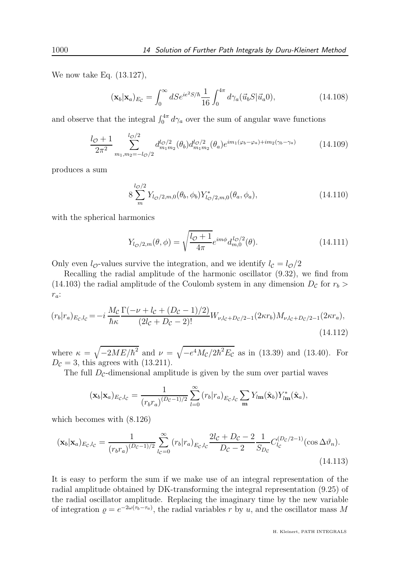We now take Eq. (13.127),

$$
(\mathbf{x}_b|\mathbf{x}_a)_{E_c} = \int_0^\infty dS e^{ie^2 S/\hbar} \frac{1}{16} \int_0^{4\pi} d\gamma_a(\vec{u}_b S|\vec{u}_a 0), \tag{14.108}
$$

and observe that the integral  $\int_0^{4\pi} d\gamma_a$  over the sum of angular wave functions

$$
\frac{l_{\mathcal{O}} + 1}{2\pi^2} \sum_{m_1, m_2 = -l_{\mathcal{O}}/2}^{l_{\mathcal{O}}/2} d_{m_1 m_2}^{l_{\mathcal{O}}/2}(\theta_b) d_{m_1 m_2}^{l_{\mathcal{O}}/2}(\theta_a) e^{im_1(\varphi_b - \varphi_a) + im_2(\gamma_b - \gamma_a)}
$$
(14.109)

produces a sum

$$
8\sum_{m}^{l_{\mathcal{O}}/2} Y_{l_{\mathcal{O}}/2,m,0}(\theta_b,\phi_b) Y_{l_{\mathcal{O}}/2,m,0}^*(\theta_a,\phi_a),\tag{14.110}
$$

with the spherical harmonics

$$
Y_{l_{\mathcal{O}}/2,m}(\theta,\phi) = \sqrt{\frac{l_{\mathcal{O}}+1}{4\pi}} e^{im\phi} d_{m,0}^{l_{\mathcal{O}}/2}(\theta). \qquad (14.111)
$$

Only even  $l_{\mathcal{O}}$ -values survive the integration, and we identify  $l_{\mathcal{C}} = l_{\mathcal{O}}/2$ 

Recalling the radial amplitude of the harmonic oscillator (9.32), we find from (14.103) the radial amplitude of the Coulomb system in any dimension  $D_c$  for  $r_b >$  $r_a$ :

$$
(r_b|r_a)_{E_c,l_c} = -i\frac{M_c}{\hbar\kappa} \frac{\Gamma(-\nu + l_c + (D_c - 1)/2)}{(2l_c + D_c - 2)!} W_{\nu,l_c + D_c/2 - 1}(2\kappa r_b) M_{\nu,l_c + D_c/2 - 1}(2\kappa r_a),
$$
\n(14.112)

where  $\kappa = \sqrt{-2ME/\hbar^2}$  and  $\nu = \sqrt{-e^4 M_c/2\hbar^2 E_c}$  as in (13.39) and (13.40). For  $D_{\mathcal{C}} = 3$ , this agrees with (13.211).

The full  $D_{\mathcal{C}}$ -dimensional amplitude is given by the sum over partial waves

$$
(\mathbf{x}_b|\mathbf{x}_a)_{E_c,l_c} = \frac{1}{(r_b r_a)^{(D_c-1)/2}} \sum_{l=0}^{\infty} (r_b|r_a)_{E_c,l_c} \sum_{m} Y_{l\mathbf{m}}(\hat{\mathbf{x}}_b) Y_{l\mathbf{m}}^*(\hat{\mathbf{x}}_a),
$$

which becomes with (8.126)

$$
(\mathbf{x}_b|\mathbf{x}_a)_{E_c,l_c} = \frac{1}{(r_b r_a)^{(D_c-1)/2}} \sum_{l_c=0}^{\infty} (r_b|r_a)_{E_c,l_c} \frac{2l_c + D_c - 2}{D_c - 2} \frac{1}{S_{D_c}} C_{l_c}^{(D_c/2-1)}(\cos \Delta \vartheta_n). \tag{14.113}
$$

It is easy to perform the sum if we make use of an integral representation of the radial amplitude obtained by DK-transforming the integral representation (9.25) of the radial oscillator amplitude. Replacing the imaginary time by the new variable of integration  $\rho = e^{-2\omega(\tau_b - \tau_a)}$ , the radial variables r by u, and the oscillator mass M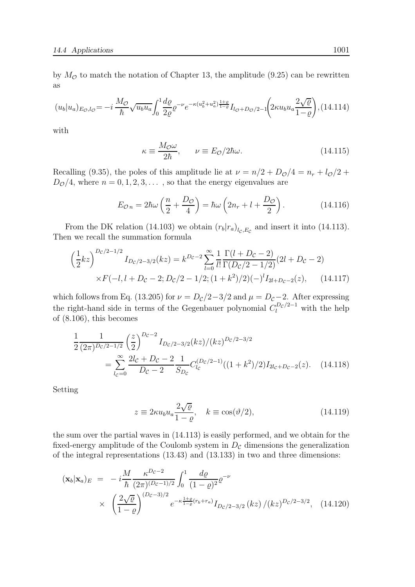by  $M_{\mathcal{O}}$  to match the notation of Chapter 13, the amplitude (9.25) can be rewritten as

$$
(u_b|u_a)_{E_O, l_O} = -i \frac{M_O}{\hbar} \sqrt{u_b u_a} \int_0^1 \frac{d\varrho}{2\varrho} \varrho^{-\nu} e^{-\kappa (u_b^2 + u_a^2) \frac{1+\varrho}{1-\varrho}} I_{l_O + D_O/2-1} \left(2\kappa u_b u_a \frac{2\sqrt{\varrho}}{1-\varrho}\right),
$$
(14.114)

with

$$
\kappa \equiv \frac{M_{\mathcal{O}}\omega}{2\hbar}, \qquad \nu \equiv E_{\mathcal{O}}/2\hbar\omega. \tag{14.115}
$$

Recalling (9.35), the poles of this amplitude lie at  $\nu = n/2 + D_{\mathcal{O}}/4 = n_r + l_{\mathcal{O}}/2 +$  $D_{\mathcal{O}}/4$ , where  $n = 0, 1, 2, 3, \dots$ , so that the energy eigenvalues are

$$
E_{\mathcal{O}\,n} = 2\hbar\omega\left(\frac{n}{2} + \frac{D_{\mathcal{O}}}{4}\right) = \hbar\omega\left(2n_r + l + \frac{D_{\mathcal{O}}}{2}\right). \tag{14.116}
$$

From the DK relation (14.103) we obtain  $(r_b|r_a)_{l_c, E_c}$  and insert it into (14.113). Then we recall the summation formula

$$
\left(\frac{1}{2}kz\right)^{D_c/2-1/2} I_{D_c/2-3/2}(kz) = k^{D_c-2} \sum_{l=0}^{\infty} \frac{1}{l!} \frac{\Gamma(l+D_c-2)}{\Gamma(D_c/2-1/2)} (2l+D_c-2) \times F(-l, l+D_c-2; D_c/2-1/2; (1+k^2)/2) (-)^l I_{2l+D_c-2}(z), \quad (14.117)
$$

which follows from Eq. (13.205) for  $\nu = D_c/2-3/2$  and  $\mu = D_c-2$ . After expressing the right-hand side in terms of the Gegenbauer polynomial  $C_l^{D_c/2-1}$  with the help of (8.106), this becomes

$$
\frac{1}{2} \frac{1}{(2\pi)^{D_c/2 - 1/2}} \left(\frac{z}{2}\right)^{D_c - 2} I_{D_c/2 - 3/2}(kz) / (kz)^{D_c/2 - 3/2}
$$
\n
$$
= \sum_{l_c=0}^{\infty} \frac{2l_c + D_c - 2}{D_c - 2} \frac{1}{S_{D_c}} C_{l_c}^{(D_c/2 - 1)} ((1 + k^2)/2) I_{2l_c + D_c - 2}(z). \quad (14.118)
$$

Setting

$$
z \equiv 2\kappa u_b u_a \frac{2\sqrt{\varrho}}{1-\varrho}, \quad k \equiv \cos(\vartheta/2), \tag{14.119}
$$

the sum over the partial waves in (14.113) is easily performed, and we obtain for the fixed-energy amplitude of the Coulomb system in  $D<sub>c</sub>$  dimensions the generalization of the integral representations (13.43) and (13.133) in two and three dimensions:

$$
(\mathbf{x}_b|\mathbf{x}_a)_E = -i\frac{M}{\hbar} \frac{\kappa^{D_c-2}}{(2\pi)^{(D_c-1)/2}} \int_0^1 \frac{d\varrho}{(1-\varrho)^2} \varrho^{-\nu}
$$
  
 
$$
\times \left(\frac{2\sqrt{\varrho}}{1-\varrho}\right)^{(D_c-3)/2} e^{-\kappa \frac{1+\varrho}{1-\varrho}(r_b+r_a)} I_{D_c/2-3/2} (kz) / (kz)^{D_c/2-3/2}, \quad (14.120)
$$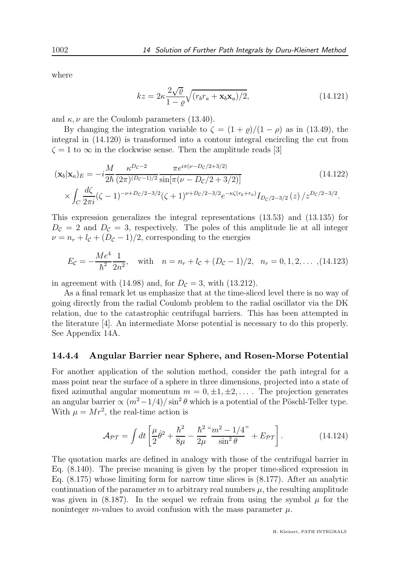where

$$
kz = 2\kappa \frac{2\sqrt{\varrho}}{1-\varrho} \sqrt{(r_b r_a + \mathbf{x}_b \mathbf{x}_a)/2},\tag{14.121}
$$

and  $\kappa, \nu$  are the Coulomb parameters (13.40).

By changing the integration variable to  $\zeta = (1 + \rho)/(1 - \rho)$  as in (13.49), the integral in (14.120) is transformed into a contour integral encircling the cut from  $\zeta = 1$  to  $\infty$  in the clockwise sense. Then the amplitude reads [3]

$$
(\mathbf{x}_b|\mathbf{x}_a)_E = -i\frac{M}{2\hbar} \frac{\kappa^{D_c - 2}}{(2\pi)^{(D_c - 1)/2}} \frac{\pi e^{i\pi(\nu - D_c/2 + 3/2)}}{\sin[\pi(\nu - D_c/2 + 3/2)]} \times \int_C \frac{d\zeta}{2\pi i} (\zeta - 1)^{-\nu + D_c/2 - 3/2} (\zeta + 1)^{\nu + D_c/2 - 3/2} e^{-\kappa \zeta(r_b + r_a)} I_{D_c/2 - 3/2}(z) / z^{D_c/2 - 3/2}.
$$
\n(14.122)

This expression generalizes the integral representations (13.53) and (13.135) for  $D_{\mathcal{C}} = 2$  and  $D_{\mathcal{C}} = 3$ , respectively. The poles of this amplitude lie at all integer  $\nu = n_r + l_c + (D_c - 1)/2$ , corresponding to the energies

$$
E_{\mathcal{C}} = -\frac{Me^4}{\hbar^2} \frac{1}{2n^2}, \quad \text{with} \quad n = n_r + l_{\mathcal{C}} + (D_{\mathcal{C}} - 1)/2, \quad n_r = 0, 1, 2, \dots, (14.123)
$$

in agreement with (14.98) and, for  $D_{\mathcal{C}} = 3$ , with (13.212).

As a final remark let us emphasize that at the time-sliced level there is no way of going directly from the radial Coulomb problem to the radial oscillator via the DK relation, due to the catastrophic centrifugal barriers. This has been attempted in the literature [4]. An intermediate Morse potential is necessary to do this properly. See Appendix 14A.

#### 14.4.4 Angular Barrier near Sphere, and Rosen-Morse Potential

For another application of the solution method, consider the path integral for a mass point near the surface of a sphere in three dimensions, projected into a state of fixed azimuthal angular momentum  $m = 0, \pm 1, \pm 2, \ldots$ . The projection generates an angular barrier  $\propto (m^2 - 1/4)/\sin^2 \theta$  which is a potential of the Pöschl-Teller type. With  $\mu = Mr^2$ , the real-time action is

$$
\mathcal{A}_{\mathcal{PT}} = \int dt \left[ \frac{\mu}{2} \dot{\theta}^2 + \frac{\hbar^2}{8\mu} - \frac{\hbar^2}{2\mu} \frac{m^2 - 1/4}{\sin^2 \theta} + E_{\mathcal{PT}} \right].
$$
 (14.124)

The quotation marks are defined in analogy with those of the centrifugal barrier in Eq. (8.140). The precise meaning is given by the proper time-sliced expression in Eq.  $(8.175)$  whose limiting form for narrow time slices is  $(8.177)$ . After an analytic continuation of the parameter m to arbitrary real numbers  $\mu$ , the resulting amplitude was given in  $(8.187)$ . In the sequel we refrain from using the symbol  $\mu$  for the noninteger m-values to avoid confusion with the mass parameter  $\mu$ .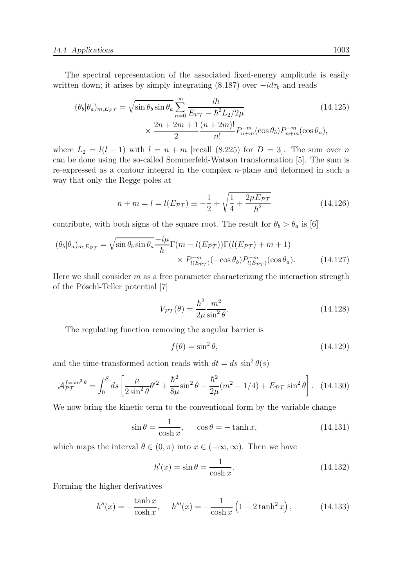The spectral representation of the associated fixed-energy amplitude is easily written down; it arises by simply integrating (8.187) over  $-id\tau_b$  and reads

$$
(\theta_b|\theta_a)_{m,E_{\mathcal{PT}}} = \sqrt{\sin\theta_b \sin\theta_a} \sum_{n=0}^{\infty} \frac{i\hbar}{E_{\mathcal{PT}} - \hbar^2 L_2/2\mu} \qquad (14.125)
$$

$$
\times \frac{2n + 2m + 1}{2} \frac{(n + 2m)!}{n!} P_{n+m}^{-m}(\cos\theta_b) P_{n+m}^{-m}(\cos\theta_a),
$$

where  $L_2 = l(l + 1)$  with  $l = n + m$  [recall (8.225) for  $D = 3$ ]. The sum over n can be done using the so-called Sommerfeld-Watson transformation [5]. The sum is re-expressed as a contour integral in the complex n-plane and deformed in such a way that only the Regge poles at

$$
n + m = l = l(E_{\mathcal{PT}}) \equiv -\frac{1}{2} + \sqrt{\frac{1}{4} + \frac{2\mu E_{\mathcal{PT}}}{\hbar^2}}
$$
(14.126)

contribute, with both signs of the square root. The result for  $\theta_b > \theta_a$  is [6]

$$
(\theta_b|\theta_a)_{m,E_{\mathcal{PT}}} = \sqrt{\sin\theta_b \sin\theta_a} \frac{-i\mu}{\hbar} \Gamma(m - l(E_{\mathcal{PT}})) \Gamma(l(E_{\mathcal{PT}}) + m + 1) \times P_{l(E_{\mathcal{PT}})}^{-m} (-\cos\theta_b) P_{l(E_{\mathcal{PT}})}^{-m} (\cos\theta_a). \tag{14.127}
$$

Here we shall consider  $m$  as a free parameter characterizing the interaction strength of the Pöschl-Teller potential [7]

$$
V_{\mathcal{PT}}(\theta) = \frac{\hbar^2}{2\mu} \frac{m^2}{\sin^2 \theta}.
$$
\n(14.128)

The regulating function removing the angular barrier is

$$
f(\theta) = \sin^2 \theta,\tag{14.129}
$$

and the time-transformed action reads with  $dt = ds \sin^2 \theta(s)$ 

$$
\mathcal{A}_{\mathcal{PT}}^{f=\sin^2\theta} = \int_0^S ds \left[ \frac{\mu}{2\sin^2\theta} \theta'^2 + \frac{\hbar^2}{8\mu} \sin^2\theta - \frac{\hbar^2}{2\mu} (m^2 - 1/4) + E_{\mathcal{PT}} \sin^2\theta \right]. \tag{14.130}
$$

We now bring the kinetic term to the conventional form by the variable change

$$
\sin \theta = \frac{1}{\cosh x}, \qquad \cos \theta = -\tanh x, \tag{14.131}
$$

which maps the interval  $\theta \in (0, \pi)$  into  $x \in (-\infty, \infty)$ . Then we have

$$
h'(x) = \sin \theta = \frac{1}{\cosh x}.\tag{14.132}
$$

Forming the higher derivatives

$$
h''(x) = -\frac{\tanh x}{\cosh x}, \quad h'''(x) = -\frac{1}{\cosh x} \left( 1 - 2 \tanh^2 x \right), \quad (14.133)
$$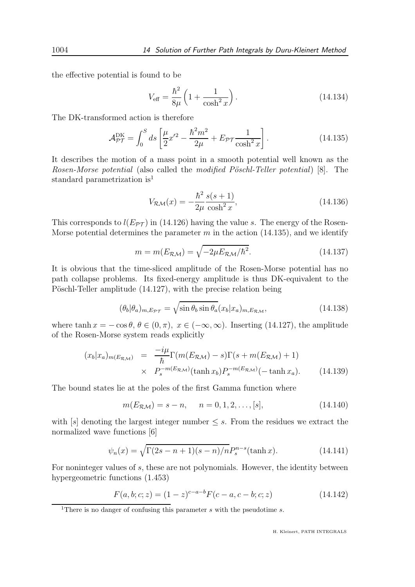the effective potential is found to be

$$
V_{\text{eff}} = \frac{\hbar^2}{8\mu} \left( 1 + \frac{1}{\cosh^2 x} \right). \tag{14.134}
$$

The DK-transformed action is therefore

$$
\mathcal{A}_{\mathcal{PT}}^{\text{DK}} = \int_0^S ds \left[ \frac{\mu}{2} x'^2 - \frac{\hbar^2 m^2}{2\mu} + E_{\mathcal{PT}} \frac{1}{\cosh^2 x} \right].
$$
 (14.135)

It describes the motion of a mass point in a smooth potential well known as the Rosen-Morse potential (also called the modified Pöschl-Teller potential) [8]. The standard parametrization is<sup>1</sup>

$$
V_{\mathcal{RM}}(x) = -\frac{\hbar^2}{2\mu} \frac{s(s+1)}{\cosh^2 x},
$$
\n(14.136)

This corresponds to  $l(E_{\mathcal{PT}})$  in (14.126) having the value s. The energy of the Rosen-Morse potential determines the parameter m in the action  $(14.135)$ , and we identify

$$
m = m(E_{\mathcal{RM}}) = \sqrt{-2\mu E_{\mathcal{RM}}/\hbar^2}.
$$
\n(14.137)

It is obvious that the time-sliced amplitude of the Rosen-Morse potential has no path collapse problems. Its fixed-energy amplitude is thus DK-equivalent to the Pöschl-Teller amplitude (14.127), with the precise relation being

$$
(\theta_b|\theta_a)_{m,E_{\mathcal{PT}}} = \sqrt{\sin \theta_b \sin \theta_a} (x_b|x_a)_{m,E_{\mathcal{RM}}},
$$
\n(14.138)

where tanh  $x = -\cos \theta$ ,  $\theta \in (0, \pi)$ ,  $x \in (-\infty, \infty)$ . Inserting (14.127), the amplitude of the Rosen-Morse system reads explicitly

$$
(x_b|x_a)_{m(E_{\mathcal{RM}})} = \frac{-i\mu}{\hbar} \Gamma(m(E_{\mathcal{RM}}) - s) \Gamma(s + m(E_{\mathcal{RM}}) + 1)
$$
  
 
$$
\times P_s^{-m(E_{\mathcal{RM}})}(\tanh x_b) P_s^{-m(E_{\mathcal{RM}})}(-\tanh x_a). \qquad (14.139)
$$

The bound states lie at the poles of the first Gamma function where

$$
m(E_{\mathcal{RM}}) = s - n, \quad n = 0, 1, 2, \dots, [s], \tag{14.140}
$$

with  $|s|$  denoting the largest integer number  $\leq s$ . From the residues we extract the normalized wave functions [6]

$$
\psi_n(x) = \sqrt{\Gamma(2s - n + 1)(s - n)/n} P_s^{n-s}(\tanh x).
$$
 (14.141)

For noninteger values of s, these are not polynomials. However, the identity between hypergeometric functions (1.453)

$$
F(a, b; c; z) = (1 - z)^{c - a - b} F(c - a, c - b; c; z)
$$
\n(14.142)

<sup>&</sup>lt;sup>1</sup>There is no danger of confusing this parameter  $s$  with the pseudotime  $s$ .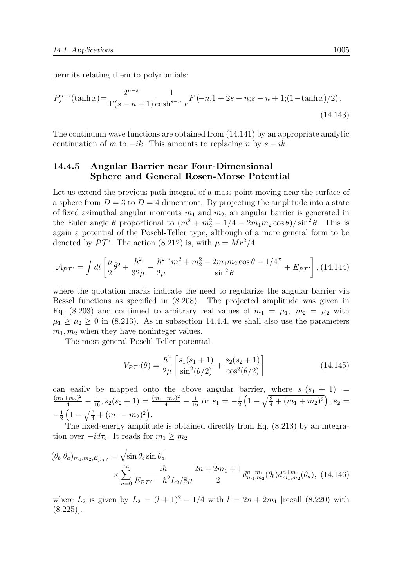permits relating them to polynomials:

$$
P_s^{n-s}(\tanh x) = \frac{2^{n-s}}{\Gamma(s-n+1)} \frac{1}{\cosh^{s-n} x} F(-n, 1+2s-n; s-n+1; (1-\tanh x)/2). \tag{14.143}
$$

The continuum wave functions are obtained from (14.141) by an appropriate analytic continuation of m to  $-i\kappa$ . This amounts to replacing n by  $s + i\kappa$ .

#### 14.4.5 Angular Barrier near Four-Dimensional Sphere and General Rosen-Morse Potential

Let us extend the previous path integral of a mass point moving near the surface of a sphere from  $D = 3$  to  $D = 4$  dimensions. By projecting the amplitude into a state of fixed azimuthal angular momenta  $m_1$  and  $m_2$ , an angular barrier is generated in the Euler angle  $\theta$  proportional to  $(m_1^2 + m_2^2 - 1/4 - 2m_1m_2\cos\theta)/\sin^2\theta$ . This is again a potential of the Pöschl-Teller type, although of a more general form to be denoted by  $\mathcal{PT}'$ . The action (8.212) is, with  $\mu = Mr^2/4$ ,

$$
\mathcal{A}_{\mathcal{PT}'} = \int dt \left[ \frac{\mu}{2} \dot{\theta}^2 + \frac{\hbar^2}{32\mu} - \frac{\hbar^2}{2\mu} \frac{m_1^2 + m_2^2 - 2m_1 m_2 \cos \theta - 1/4}{\sin^2 \theta} + E_{\mathcal{PT}'} \right],
$$
 (14.144)

where the quotation marks indicate the need to regularize the angular barrier via Bessel functions as specified in (8.208). The projected amplitude was given in Eq. (8.203) and continued to arbitrary real values of  $m_1 = \mu_1$ ,  $m_2 = \mu_2$  with  $\mu_1 \geq \mu_2 \geq 0$  in (8.213). As in subsection 14.4.4, we shall also use the parameters  $m_1, m_2$  when they have noninteger values.

The most general Pöschl-Teller potential

$$
V_{\mathcal{PT}'}(\theta) = \frac{\hbar^2}{2\mu} \left[ \frac{s_1(s_1 + 1)}{\sin^2(\theta/2)} + \frac{s_2(s_2 + 1)}{\cos^2(\theta/2)} \right]
$$
(14.145)

can easily be mapped onto the above angular barrier, where  $s_1(s_1 + 1)$  =  $\frac{(m_1+m_2)^2}{4} - \frac{1}{16}$ ,  $s_2(s_2+1) = \frac{(m_1-m_2)^2}{4} - \frac{1}{16}$  or  $s_1 = -\frac{1}{2}$  $\frac{1}{2}\left(1-\sqrt{\frac{3}{4}+(m_1+m_2)^2}\right), s_2 =$  $-\frac{1}{2}$  $\frac{1}{2}\left(1-\sqrt{\frac{3}{4}+(m_1-m_2)^2}\right).$ 

The fixed-energy amplitude is obtained directly from Eq. (8.213) by an integration over  $-id\tau_b$ . It reads for  $m_1 \geq m_2$ 

$$
(\theta_b|\theta_a)_{m_1,m_2,E_{\mathcal{PT}'}} = \sqrt{\sin \theta_b \sin \theta_a}
$$
  
 
$$
\times \sum_{n=0}^{\infty} \frac{i\hbar}{E_{\mathcal{PT}'} - \hbar^2 L_2/8\mu} \frac{2n + 2m_1 + 1}{2} d_{m_1,m_2}^{n+m_1}(\theta_b) d_{m_1,m_2}^{n+m_1}(\theta_a), (14.146)
$$

where  $L_2$  is given by  $L_2 = (l + 1)^2 - 1/4$  with  $l = 2n + 2m_1$  [recall (8.220) with  $(8.225)$ ].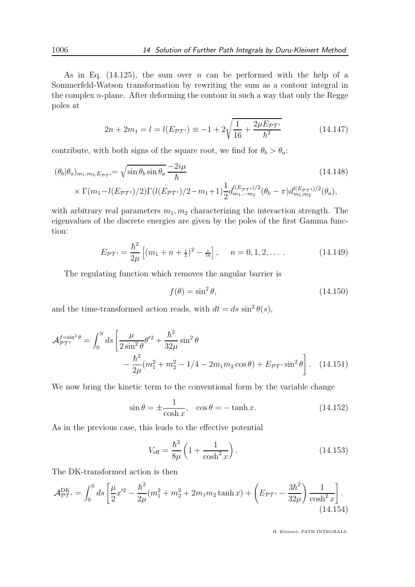As in Eq. (14.125), the sum over n can be performed with the help of a Sommerfeld-Watson transformation by rewriting the sum as a contour integral in the complex  $n$ -plane. After deforming the contour in such a way that only the Regge poles at

$$
2n + 2m_1 = l = l(E_{\mathcal{PT'}}) \equiv -1 + 2\sqrt{\frac{1}{16} + \frac{2\mu E_{\mathcal{PT'}}}{\hbar^2}}
$$
(14.147)

contribute, with both signs of the square root, we find for  $\theta_b > \theta_a$ :

$$
(\theta_b|\theta_a)_{m_1,m_2,E_{\mathcal{PT}}} = \sqrt{\sin \theta_b \sin \theta_a} \frac{-2i\mu}{\hbar}
$$
\n
$$
\times \Gamma(m_1 - l(E_{\mathcal{PT'}})/2) \Gamma(l(E_{\mathcal{PT'}})/2 - m_1 + 1) \frac{1}{2} d_{m_1,-m_2}^{l(E_{\mathcal{PT'}})/2}(\theta_b - \pi) d_{m_1,m_2}^{l(E_{\mathcal{PT'}})/2}(\theta_a),
$$
\n(14.148)

with arbitrary real parameters  $m_1, m_2$  characterizing the interaction strength. The eigenvalues of the discrete energies are given by the poles of the first Gamma function:

$$
E_{\mathcal{PT}'} = \frac{\hbar^2}{2\mu} \left[ (m_1 + n + \frac{1}{2})^2 - \frac{1}{16} \right], \quad n = 0, 1, 2, \dots \tag{14.149}
$$

The regulating function which removes the angular barrier is

$$
f(\theta) = \sin^2 \theta, \tag{14.150}
$$

and the time-transformed action reads, with  $dt = ds \sin^2 \theta(s)$ ,

$$
\mathcal{A}_{\mathcal{PT'}}^{f=\sin^2\theta} = \int_0^S ds \left[ \frac{\mu}{2\sin^2\theta} \theta'^2 + \frac{\hbar^2}{32\mu} \sin^2\theta \right. \\ - \frac{\hbar^2}{2\mu} (m_1^2 + m_2^2 - 1/4 - 2m_1 m_2 \cos\theta) + E_{\mathcal{PT'}} \sin^2\theta \right]. \tag{14.151}
$$

We now bring the kinetic term to the conventional form by the variable change

$$
\sin \theta = \pm \frac{1}{\cosh x}, \quad \cos \theta = -\tanh x. \tag{14.152}
$$

As in the previous case, this leads to the effective potential

$$
V_{\text{eff}} = \frac{\hbar^2}{8\mu} \left( 1 + \frac{1}{\cosh^2 x} \right). \tag{14.153}
$$

The DK-transformed action is then

$$
\mathcal{A}_{\mathcal{PT}'}^{\text{DK}} = \int_0^S ds \left[ \frac{\mu}{2} x'^2 - \frac{\hbar^2}{2\mu} (m_1^2 + m_2^2 + 2m_1 m_2 \tanh x) + \left( E_{\mathcal{PT}'} - \frac{3\hbar^2}{32\mu} \right) \frac{1}{\cosh^2 x} \right].
$$
\n(14.154)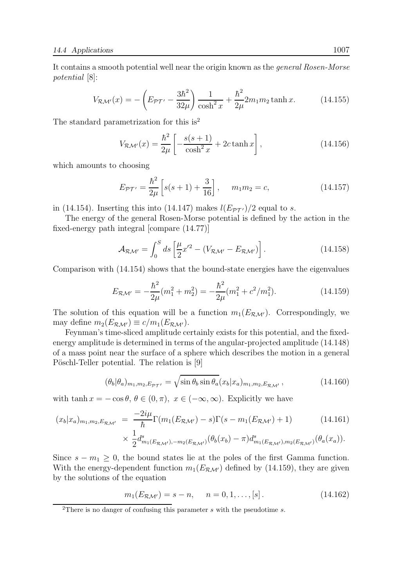It contains a smooth potential well near the origin known as the general Rosen-Morse potential  $|8|$ :

$$
V_{\mathcal{RM}'}(x) = -\left(E_{\mathcal{PT}'} - \frac{3\hbar^2}{32\mu}\right) \frac{1}{\cosh^2 x} + \frac{\hbar^2}{2\mu} 2m_1 m_2 \tanh x.
$$
 (14.155)

The standard parametrization for this is<sup>2</sup>

$$
V_{\mathcal{RM}'}(x) = \frac{\hbar^2}{2\mu} \left[ -\frac{s(s+1)}{\cosh^2 x} + 2c \tanh x \right],
$$
 (14.156)

which amounts to choosing

$$
E_{\mathcal{PT}'} = \frac{\hbar^2}{2\mu} \left[ s(s+1) + \frac{3}{16} \right], \quad m_1 m_2 = c,
$$
 (14.157)

in (14.154). Inserting this into (14.147) makes  $l(E_{\mathcal{PT'}})/2$  equal to s.

The energy of the general Rosen-Morse potential is defined by the action in the fixed-energy path integral [compare (14.77)]

$$
\mathcal{A}_{\mathcal{RM}'} = \int_0^S ds \left[ \frac{\mu}{2} x'^2 - (V_{\mathcal{RM}'} - E_{\mathcal{RM}'}) \right]. \tag{14.158}
$$

Comparison with (14.154) shows that the bound-state energies have the eigenvalues

$$
E_{\mathcal{RM}'} = -\frac{\hbar^2}{2\mu}(m_1^2 + m_2^2) = -\frac{\hbar^2}{2\mu}(m_1^2 + c^2/m_1^2). \tag{14.159}
$$

The solution of this equation will be a function  $m_1(E_{\mathcal{RM'}})$ . Correspondingly, we may define  $m_2(E_{\mathcal{RM'}}) \equiv c/m_1(E_{\mathcal{RM'}})$ .

Feynman's time-sliced amplitude certainly exists for this potential, and the fixedenergy amplitude is determined in terms of the angular-projected amplitude (14.148) of a mass point near the surface of a sphere which describes the motion in a general Pöschl-Teller potential. The relation is [9]

$$
(\theta_b|\theta_a)_{m_1,m_2,E_{\mathcal{PT}'}} = \sqrt{\sin\theta_b \sin\theta_a}(x_b|x_a)_{m_1,m_2,E_{\mathcal{RM}'}},\tag{14.160}
$$

with tanh  $x = -\cos \theta$ ,  $\theta \in (0, \pi)$ ,  $x \in (-\infty, \infty)$ . Explicitly we have

$$
(x_b|x_a)_{m_1,m_2,E_{\mathcal{RM}'}} = \frac{-2i\mu}{\hbar} \Gamma(m_1(E_{\mathcal{RM}'})-s)\Gamma(s-m_1(E_{\mathcal{RM}'})+1)
$$
(14.161)  

$$
\times \frac{1}{2}d_{m_1(E_{\mathcal{RM}'}),-m_2(E_{\mathcal{RM}'})}^s(\theta_b(x_b)-\pi)d_{m_1(E_{\mathcal{RM}'}),m_2(E_{\mathcal{RM}'})}^s(\theta_a(x_a)).
$$

Since  $s - m_1 \geq 0$ , the bound states lie at the poles of the first Gamma function. With the energy-dependent function  $m_1(E_{\mathcal{RM'}})$  defined by (14.159), they are given by the solutions of the equation

$$
m_1(E_{\mathcal{RM'}}) = s - n, \quad n = 0, 1, ..., [s]. \tag{14.162}
$$

<sup>&</sup>lt;sup>2</sup>There is no danger of confusing this parameter  $s$  with the pseudotime  $s$ .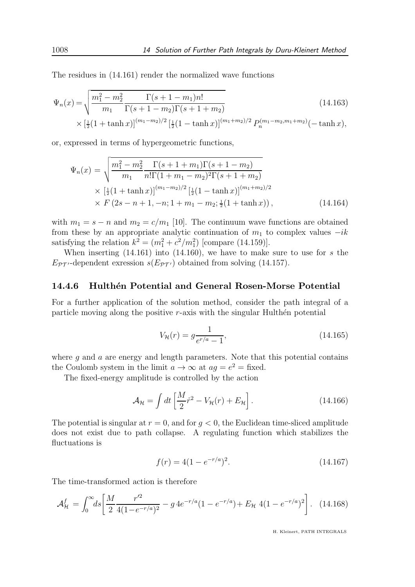The residues in (14.161) render the normalized wave functions

$$
\Psi_n(x) = \sqrt{\frac{m_1^2 - m_2^2}{m_1} \frac{\Gamma(s + 1 - m_1)n!}{\Gamma(s + 1 - m_2)\Gamma(s + 1 + m_2)}} \times \left[\frac{1}{2}(1 + \tanh x)\right]^{(m_1 - m_2)/2} \left[\frac{1}{2}(1 - \tanh x)\right]^{(m_1 + m_2)/2} P_n^{(m_1 - m_2, m_1 + m_2)}(-\tanh x),
$$
\n(14.163)

or, expressed in terms of hypergeometric functions,

$$
\Psi_n(x) = \sqrt{\frac{m_1^2 - m_2^2}{m_1} \frac{\Gamma(s + 1 + m_1)\Gamma(s + 1 - m_2)}{n!\Gamma(1 + m_1 - m_2)^2 \Gamma(s + 1 + m_2)}}\times \left[\frac{1}{2}(1 + \tanh x)\right]^{(m_1 - m_2)/2} \left[\frac{1}{2}(1 - \tanh x)\right]^{(m_1 + m_2)/2} \times F(2s - n + 1, -n; 1 + m_1 - m_2; \frac{1}{2}(1 + \tanh x)),
$$
\n(14.164)

with  $m_1 = s - n$  and  $m_2 = c/m_1$  [10]. The continuum wave functions are obtained from these by an appropriate analytic continuation of  $m_1$  to complex values  $-i\kappa$ satisfying the relation  $k^2 = (m_1^2 + c^2/m_1^2)$  [compare (14.159)].

When inserting  $(14.161)$  into  $(14.160)$ , we have to make sure to use for s the  $E_{PT'}$ -dependent exression  $s(E_{PT'})$  obtained from solving (14.157).

#### 14.4.6 Hulthén Potential and General Rosen-Morse Potential

For a further application of the solution method, consider the path integral of a particle moving along the positive  $r$ -axis with the singular Hulthen potential

$$
V_{\mathcal{H}}(r) = g \frac{1}{e^{r/a} - 1},\tag{14.165}
$$

where  $q$  and  $q$  are energy and length parameters. Note that this potential contains the Coulomb system in the limit  $a \to \infty$  at  $ag = e^2 = \text{fixed}$ .

The fixed-energy amplitude is controlled by the action

$$
\mathcal{A}_{\mathcal{H}} = \int dt \left[ \frac{M}{2} \dot{r}^2 - V_{\mathcal{H}}(r) + E_{\mathcal{H}} \right]. \tag{14.166}
$$

The potential is singular at  $r = 0$ , and for  $q < 0$ , the Euclidean time-sliced amplitude does not exist due to path collapse. A regulating function which stabilizes the fluctuations is

$$
f(r) = 4(1 - e^{-r/a})^2.
$$
 (14.167)

The time-transformed action is therefore

$$
\mathcal{A}_{\mathcal{H}}^{f} = \int_{0}^{\infty} ds \left[ \frac{M}{2} \frac{r'^2}{4(1 - e^{-r/a})^2} - g \, 4e^{-r/a} (1 - e^{-r/a}) + E_{\mathcal{H}} \, 4(1 - e^{-r/a})^2 \right]. \tag{14.168}
$$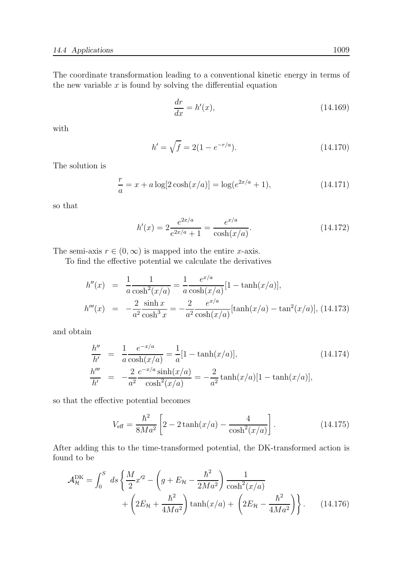The coordinate transformation leading to a conventional kinetic energy in terms of the new variable  $x$  is found by solving the differential equation

$$
\frac{dr}{dx} = h'(x),\tag{14.169}
$$

with

$$
h' = \sqrt{f} = 2(1 - e^{-r/a}).\tag{14.170}
$$

The solution is

$$
\frac{r}{a} = x + a \log[2 \cosh(x/a)] = \log(e^{2x/a} + 1),\tag{14.171}
$$

so that

$$
h'(x) = 2\frac{e^{2x/a}}{e^{2x/a} + 1} = \frac{e^{x/a}}{\cosh(x/a)}.
$$
\n(14.172)

The semi-axis  $r \in (0, \infty)$  is mapped into the entire x-axis.

To find the effective potential we calculate the derivatives

$$
h''(x) = \frac{1}{a} \frac{1}{\cosh^2(x/a)} = \frac{1}{a} \frac{e^{x/a}}{\cosh(x/a)} [1 - \tanh(x/a)],
$$
  

$$
h'''(x) = -\frac{2}{a^2} \frac{\sinh x}{\cosh^3 x} = -\frac{2}{a^2} \frac{e^{x/a}}{\cosh(x/a)} [\tanh(x/a) - \tan^2(x/a)], \text{ (14.173)}
$$

and obtain

$$
\frac{h''}{h'} = \frac{1}{a} \frac{e^{-x/a}}{\cosh(x/a)} = \frac{1}{a} [1 - \tanh(x/a)],
$$
\n
$$
\frac{h'''}{h'} = -\frac{2}{a^2} \frac{e^{-x/a} \sinh(x/a)}{\cosh^2(x/a)} = -\frac{2}{a^2} \tanh(x/a) [1 - \tanh(x/a)],
$$
\n(14.174)

so that the effective potential becomes

$$
V_{\text{eff}} = \frac{\hbar^2}{8Ma^2} \left[ 2 - 2 \tanh(x/a) - \frac{4}{\cosh^2(x/a)} \right].
$$
 (14.175)

After adding this to the time-transformed potential, the DK-transformed action is found to be

$$
\mathcal{A}_{\mathcal{H}}^{\text{DK}} = \int_0^S ds \left\{ \frac{M}{2} x'^2 - \left( g + E_{\mathcal{H}} - \frac{\hbar^2}{2Ma^2} \right) \frac{1}{\cosh^2(x/a)} + \left( 2E_{\mathcal{H}} + \frac{\hbar^2}{4Ma^2} \right) \tanh(x/a) + \left( 2E_{\mathcal{H}} - \frac{\hbar^2}{4Ma^2} \right) \right\}.
$$
 (14.176)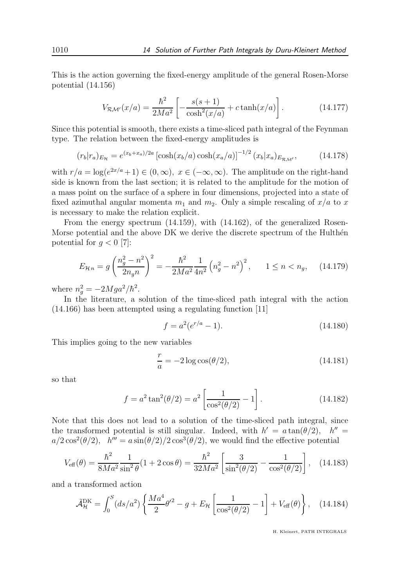This is the action governing the fixed-energy amplitude of the general Rosen-Morse potential (14.156)

$$
V_{\mathcal{RM}'}(x/a) = \frac{\hbar^2}{2Ma^2} \left[ -\frac{s(s+1)}{\cosh^2(x/a)} + c \tanh(x/a) \right].
$$
 (14.177)

Since this potential is smooth, there exists a time-sliced path integral of the Feynman type. The relation between the fixed-energy amplitudes is

$$
(r_b|r_a)_{E_{\mathcal{H}}} = e^{(x_b + x_a)/2a} \left[ \cosh(x_b/a) \cosh(x_a/a) \right]^{-1/2} (x_b|x_a)_{E_{\mathcal{RM}'}}, \tag{14.178}
$$

with  $r/a = \log(e^{2x/a} + 1) \in (0, \infty), x \in (-\infty, \infty)$ . The amplitude on the right-hand side is known from the last section; it is related to the amplitude for the motion of a mass point on the surface of a sphere in four dimensions, projected into a state of fixed azimuthal angular momenta  $m_1$  and  $m_2$ . Only a simple rescaling of  $x/a$  to x is necessary to make the relation explicit.

From the energy spectrum (14.159), with (14.162), of the generalized Rosen-Morse potential and the above DK we derive the discrete spectrum of the Hulthén potential for  $q < 0$  [7]:

$$
E_{\mathcal{H}n} = g \left(\frac{n_g^2 - n^2}{2n_g n}\right)^2 = -\frac{\hbar^2}{2Ma^2} \frac{1}{4n^2} \left(n_g^2 - n^2\right)^2, \qquad 1 \le n < n_g,\tag{14.179}
$$

where  $n_g^2 = -2Mga^2/\hbar^2$ .

In the literature, a solution of the time-sliced path integral with the action (14.166) has been attempted using a regulating function [11]

$$
f = a^2(e^{r/a} - 1). \tag{14.180}
$$

This implies going to the new variables

$$
\frac{r}{a} = -2\log\cos(\theta/2),\tag{14.181}
$$

so that

$$
f = a^2 \tan^2(\theta/2) = a^2 \left[ \frac{1}{\cos^2(\theta/2)} - 1 \right].
$$
 (14.182)

Note that this does not lead to a solution of the time-sliced path integral, since the transformed potential is still singular. Indeed, with  $h' = a \tan(\theta/2)$ ,  $h'' = a \tan(\theta/2)$  $a/2 \cos^2(\theta/2)$ ,  $h''' = a \sin(\theta/2)/2 \cos^3(\theta/2)$ , we would find the effective potential

$$
V_{\text{eff}}(\theta) = \frac{\hbar^2}{8Ma^2 \sin^2 \theta} (1 + 2\cos\theta) = \frac{\hbar^2}{32Ma^2} \left[ \frac{3}{\sin^2(\theta/2)} - \frac{1}{\cos^2(\theta/2)} \right], \quad (14.183)
$$

and a transformed action

$$
\tilde{\mathcal{A}}_{\mathcal{H}}^{\text{DK}} = \int_0^S (ds/a^2) \left\{ \frac{Ma^4}{2} \theta'^2 - g + E_{\mathcal{H}} \left[ \frac{1}{\cos^2(\theta/2)} - 1 \right] + V_{\text{eff}}(\theta) \right\}, \quad (14.184)
$$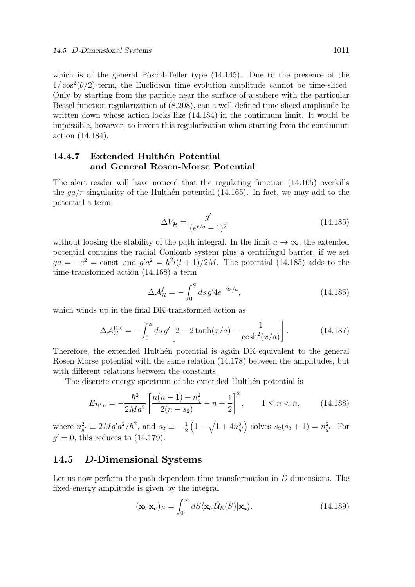which is of the general Pöschl-Teller type  $(14.145)$ . Due to the presence of the  $1/\cos^2(\theta/2)$ -term, the Euclidean time evolution amplitude cannot be time-sliced. Only by starting from the particle near the surface of a sphere with the particular Bessel function regularization of (8.208), can a well-defined time-sliced amplitude be written down whose action looks like (14.184) in the continuum limit. It would be impossible, however, to invent this regularization when starting from the continuum action (14.184).

## 14.4.7 Extended Hulthén Potential and General Rosen-Morse Potential

The alert reader will have noticed that the regulating function (14.165) overkills the  $ga/r$  singularity of the Hulthen potential (14.165). In fact, we may add to the potential a term

$$
\Delta V_{\mathcal{H}} = \frac{g'}{(e^{r/a} - 1)^2} \tag{14.185}
$$

without loosing the stability of the path integral. In the limit  $a \to \infty$ , the extended potential contains the radial Coulomb system plus a centrifugal barrier, if we set  $ga = -e^2 = \text{const}$  and  $g'a^2 = \hbar^2 l(l+1)/2M$ . The potential (14.185) adds to the time-transformed action (14.168) a term

$$
\Delta \mathcal{A}_{\mathcal{H}}^{f} = -\int_{0}^{S} ds \, g' 4e^{-2r/a}, \qquad (14.186)
$$

which winds up in the final DK-transformed action as

$$
\Delta \mathcal{A}_{\mathcal{H}}^{\text{DK}} = -\int_0^S ds \, g' \left[ 2 - 2 \tanh(x/a) - \frac{1}{\cosh^2(x/a)} \right]. \tag{14.187}
$$

Therefore, the extended Hulthen potential is again DK-equivalent to the general Rosen-Morse potential with the same relation (14.178) between the amplitudes, but with different relations between the constants.

The discrete energy spectrum of the extended Hulthen potential is

$$
E_{\mathcal{H}'n} = -\frac{\hbar^2}{2Ma^2} \left[ \frac{n(n-1) + n_g^2}{2(n-s_2)} - n + \frac{1}{2} \right]^2, \qquad 1 \le n < \bar{n}, \tag{14.188}
$$

where  $n_{g'}^2 \equiv 2Mg'a^2/\hbar^2$ , and  $s_2 \equiv -\frac{1}{2}\left(1-\sqrt{1+4n_{g'}^2}\right)$  solves  $s_2(s_2+1) = n_{g'}^2$ . For  $g' = 0$ , this reduces to  $(14.179)$ .

## 14.5 D-Dimensional Systems

Let us now perform the path-dependent time transformation in D dimensions. The fixed-energy amplitude is given by the integral

$$
(\mathbf{x}_b|\mathbf{x}_a)_E = \int_0^\infty dS \langle \mathbf{x}_b | \hat{\mathcal{U}}_E(S) | \mathbf{x}_a \rangle, \tag{14.189}
$$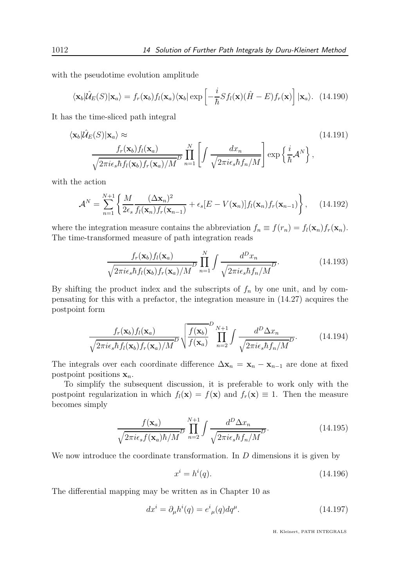with the pseudotime evolution amplitude

$$
\langle \mathbf{x}_b | \hat{\mathcal{U}}_E(S) | \mathbf{x}_a \rangle = f_r(\mathbf{x}_b) f_l(\mathbf{x}_a) \langle \mathbf{x}_b | \exp\left[ -\frac{i}{\hbar} S f_l(\mathbf{x}) (\hat{H} - E) f_r(\mathbf{x}) \right] | \mathbf{x}_a \rangle. \tag{14.190}
$$

It has the time-sliced path integral

$$
\langle \mathbf{x}_b | \hat{\mathcal{U}}_E(S) | \mathbf{x}_a \rangle \approx \frac{f_r(\mathbf{x}_b) f_l(\mathbf{x}_a)}{\sqrt{2\pi i \epsilon_s \hbar f_l(\mathbf{x}_b) f_r(\mathbf{x}_a)/M}} \prod_{n=1}^N \left[ \int \frac{dx_n}{\sqrt{2\pi i \epsilon_s \hbar f_n/M}} \right] \exp\left\{ \frac{i}{\hbar} \mathcal{A}^N \right\},
$$
\n(14.191)

with the action

$$
\mathcal{A}^N = \sum_{n=1}^{N+1} \left\{ \frac{M}{2\epsilon_s} \frac{(\Delta \mathbf{x}_n)^2}{f_l(\mathbf{x}_n) f_r(\mathbf{x}_{n-1})} + \epsilon_s [E - V(\mathbf{x}_n)] f_l(\mathbf{x}_n) f_r(\mathbf{x}_{n-1}) \right\}, \quad (14.192)
$$

where the integration measure contains the abbreviation  $f_n \equiv f(r_n) = f_l(\mathbf{x}_n) f_r(\mathbf{x}_n)$ . The time-transformed measure of path integration reads

$$
\frac{f_r(\mathbf{x}_b) f_l(\mathbf{x}_a)}{\sqrt{2\pi i \epsilon_s \hbar f_l(\mathbf{x}_b) f_r(\mathbf{x}_a)/M}} \prod_{n=1}^N \int \frac{d^D x_n}{\sqrt{2\pi i \epsilon_s \hbar f_n/M}} \tag{14.193}
$$

By shifting the product index and the subscripts of  $f_n$  by one unit, and by compensating for this with a prefactor, the integration measure in (14.27) acquires the postpoint form

$$
\frac{f_r(\mathbf{x}_b) f_l(\mathbf{x}_a)}{\sqrt{2\pi i \epsilon_s \hbar f_l(\mathbf{x}_b) f_r(\mathbf{x}_a)/M}} \sqrt{\frac{f(\mathbf{x}_b)}{f(\mathbf{x}_a)}} \prod_{n=2}^{D} \int \frac{d^D \Delta x_n}{\sqrt{2\pi i \epsilon_s \hbar f_n/M}} \tag{14.194}
$$

The integrals over each coordinate difference  $\Delta \mathbf{x}_n = \mathbf{x}_n - \mathbf{x}_{n-1}$  are done at fixed postpoint positions  $x_n$ .

To simplify the subsequent discussion, it is preferable to work only with the postpoint regularization in which  $f_l(\mathbf{x}) = f(\mathbf{x})$  and  $f_r(\mathbf{x}) \equiv 1$ . Then the measure becomes simply

$$
\frac{f(\mathbf{x}_a)}{\sqrt{2\pi i \epsilon_s f(\mathbf{x}_a)\hbar/M}} \prod_{n=2}^{N+1} \int \frac{d^D \Delta x_n}{\sqrt{2\pi i \epsilon_s \hbar f_n/M}}.
$$
(14.195)

We now introduce the coordinate transformation. In  $D$  dimensions it is given by

$$
x^i = h^i(q). \tag{14.196}
$$

The differential mapping may be written as in Chapter 10 as

$$
dx^{i} = \partial_{\mu}h^{i}(q) = e^{i}{}_{\mu}(q)dq^{\mu}.
$$
\n(14.197)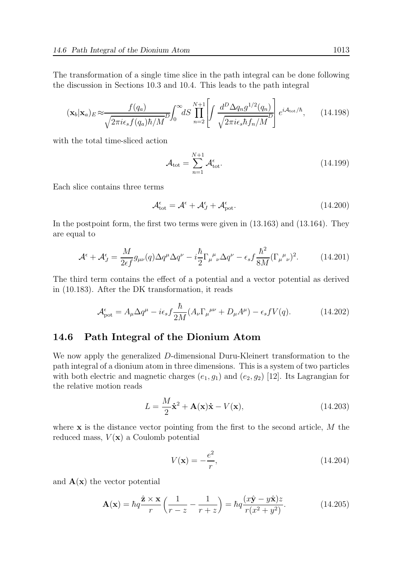The transformation of a single time slice in the path integral can be done following the discussion in Sections 10.3 and 10.4. This leads to the path integral

$$
(\mathbf{x}_b|\mathbf{x}_a)_E \approx \frac{f(q_a)}{\sqrt{2\pi i \epsilon_s f(q_a)\hbar/M}} D_0^{\infty} dS \prod_{n=2}^{N+1} \left[ \int \frac{d^D \Delta q_n g^{1/2}(q_n)}{\sqrt{2\pi i \epsilon_s \hbar f_n/M}} \right] e^{i\mathcal{A}_{\text{tot}}/\hbar},\qquad(14.198)
$$

with the total time-sliced action

$$
\mathcal{A}_{\text{tot}} = \sum_{n=1}^{N+1} \mathcal{A}_{\text{tot}}^{\epsilon}.
$$
\n(14.199)

Each slice contains three terms

$$
\mathcal{A}_{\text{tot}}^{\epsilon} = \mathcal{A}^{\epsilon} + \mathcal{A}_{J}^{\epsilon} + \mathcal{A}_{\text{pot}}^{\epsilon}.
$$
\n(14.200)

In the postpoint form, the first two terms were given in (13.163) and (13.164). They are equal to

$$
\mathcal{A}^{\epsilon} + \mathcal{A}^{\epsilon}_{J} = \frac{M}{2\epsilon f} g_{\mu\nu}(q) \Delta q^{\mu} \Delta q^{\nu} - i \frac{\hbar}{2} \Gamma_{\mu}{}^{\mu}{}_{\nu} \Delta q^{\nu} - \epsilon_{s} f \frac{\hbar^{2}}{8M} (\Gamma_{\mu}{}^{\mu}{}_{\nu})^{2}.
$$
 (14.201)

The third term contains the effect of a potential and a vector potential as derived in (10.183). After the DK transformation, it reads

$$
\mathcal{A}_{\text{pot}}^{\epsilon} = A_{\mu} \Delta q^{\mu} - i \epsilon_s f \frac{\hbar}{2M} (A_{\nu} \Gamma_{\mu}{}^{\mu \nu} + D_{\mu} A^{\mu}) - \epsilon_s f V(q). \tag{14.202}
$$

#### 14.6 Path Integral of the Dionium Atom

We now apply the generalized D-dimensional Duru-Kleinert transformation to the path integral of a dionium atom in three dimensions. This is a system of two particles with both electric and magnetic charges  $(e_1, g_1)$  and  $(e_2, g_2)$  [12]. Its Lagrangian for the relative motion reads

$$
L = \frac{M}{2}\dot{\mathbf{x}}^2 + \mathbf{A}(\mathbf{x})\dot{\mathbf{x}} - V(\mathbf{x}),\tag{14.203}
$$

where  $x$  is the distance vector pointing from the first to the second article,  $M$  the reduced mass,  $V(\mathbf{x})$  a Coulomb potential

$$
V(\mathbf{x}) = -\frac{e^2}{r},\tag{14.204}
$$

and  $\mathbf{A}(\mathbf{x})$  the vector potential

$$
\mathbf{A}(\mathbf{x}) = \hbar q \frac{\hat{\mathbf{z}} \times \mathbf{x}}{r} \left( \frac{1}{r - z} - \frac{1}{r + z} \right) = \hbar q \frac{(x\hat{\mathbf{y}} - y\hat{\mathbf{x}})z}{r(x^2 + y^2)}.
$$
(14.205)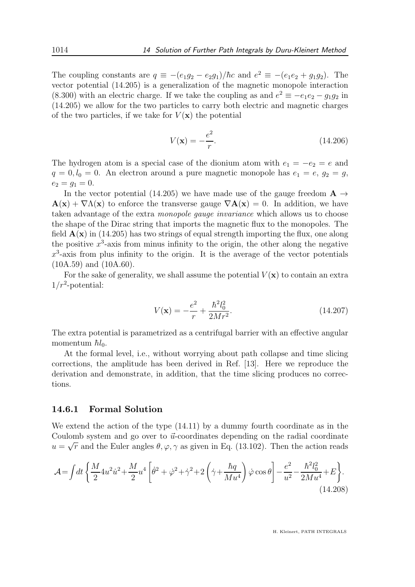The coupling constants are  $q \equiv -(e_1g_2 - e_2g_1)/\hbar c$  and  $e^2 \equiv -(e_1e_2 + g_1g_2)$ . The vector potential (14.205) is a generalization of the magnetic monopole interaction (8.300) with an electric charge. If we take the coupling as and  $e^2 \equiv -e_1e_2 - g_1g_2$  in (14.205) we allow for the two particles to carry both electric and magnetic charges of the two particles, if we take for  $V(\mathbf{x})$  the potential

$$
V(\mathbf{x}) = -\frac{e^2}{r}.
$$
 (14.206)

The hydrogen atom is a special case of the dionium atom with  $e_1 = -e_2 = e$  and  $q = 0, l_0 = 0$ . An electron around a pure magnetic monopole has  $e_1 = e, g_2 = g$ ,  $e_2 = q_1 = 0.$ 

In the vector potential (14.205) we have made use of the gauge freedom  $\mathbf{A} \rightarrow$  $\mathbf{A}(\mathbf{x}) + \nabla \Lambda(\mathbf{x})$  to enforce the transverse gauge  $\nabla \mathbf{A}(\mathbf{x}) = 0$ . In addition, we have taken advantage of the extra monopole gauge invariance which allows us to choose the shape of the Dirac string that imports the magnetic flux to the monopoles. The field  $\mathbf{A}(\mathbf{x})$  in (14.205) has two strings of equal strength importing the flux, one along the positive  $x^3$ -axis from minus infinity to the origin, the other along the negative  $x^3$ -axis from plus infinity to the origin. It is the average of the vector potentials (10A.59) and (10A.60).

For the sake of generality, we shall assume the potential  $V(\mathbf{x})$  to contain an extra  $1/r^2$ -potential:

$$
V(\mathbf{x}) = -\frac{e^2}{r} + \frac{\hbar^2 l_0^2}{2Mr^2}.
$$
\n(14.207)

The extra potential is parametrized as a centrifugal barrier with an effective angular momentum  $\hbar l_0$ .

At the formal level, i.e., without worrying about path collapse and time slicing corrections, the amplitude has been derived in Ref. [13]. Here we reproduce the derivation and demonstrate, in addition, that the time slicing produces no corrections.

#### 14.6.1 Formal Solution

We extend the action of the type (14.11) by a dummy fourth coordinate as in the Coulomb system and go over to  $\vec{u}$ -coordinates depending on the radial coordinate  $u = \sqrt{r}$  and the Euler angles  $\theta, \varphi, \gamma$  as given in Eq. (13.102). Then the action reads

$$
\mathcal{A} = \int dt \left\{ \frac{M}{2} 4u^2 \dot{u}^2 + \frac{M}{2} u^4 \left[ \dot{\theta}^2 + \dot{\varphi}^2 + \dot{\gamma}^2 + 2 \left( \dot{\gamma} + \frac{\hbar q}{M u^4} \right) \dot{\varphi} \cos \theta \right] - \frac{e^2}{u^2} - \frac{\hbar^2 l_0^2}{2 M u^4} + E \right\}.
$$
\n(14.208)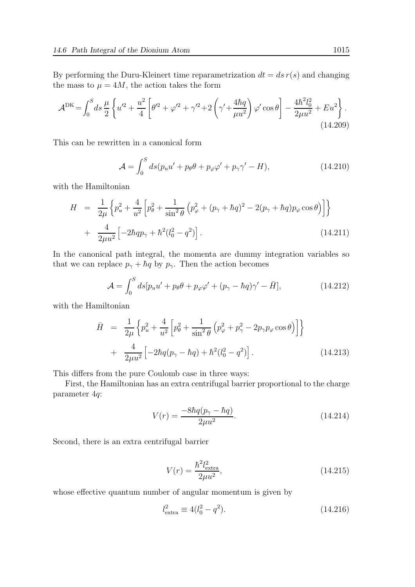By performing the Duru-Kleinert time reparametrization  $dt = ds r(s)$  and changing the mass to  $\mu = 4M$ , the action takes the form

$$
\mathcal{A}^{\rm DK} = \int_0^S ds \, \frac{\mu}{2} \left\{ u'^2 + \frac{u^2}{4} \left[ \theta'^2 + \varphi'^2 + \gamma'^2 + 2 \left( \gamma' + \frac{4\hbar q}{\mu u^2} \right) \varphi' \cos \theta \right] - \frac{4\hbar^2 l_0^2}{2\mu u^2} + Eu^2 \right\}.
$$
\n(14.209)

This can be rewritten in a canonical form

$$
\mathcal{A} = \int_0^S ds (p_u u' + p_\theta \theta + p_\varphi \varphi' + p_\gamma \gamma' - H), \qquad (14.210)
$$

with the Hamiltonian

$$
H = \frac{1}{2\mu} \left\{ p_u^2 + \frac{4}{u^2} \left[ p_\theta^2 + \frac{1}{\sin^2 \theta} \left( p_\varphi^2 + (p_\gamma + \hbar q)^2 - 2(p_\gamma + \hbar q) p_\varphi \cos \theta \right) \right] \right\}
$$
  
+ 
$$
\frac{4}{2\mu u^2} \left[ -2\hbar q p_\gamma + \hbar^2 (l_0^2 - q^2) \right].
$$
 (14.211)

In the canonical path integral, the momenta are dummy integration variables so that we can replace  $p_{\gamma} + \hbar q$  by  $p_{\gamma}$ . Then the action becomes

$$
\mathcal{A} = \int_0^S ds [p_u u' + p_\theta \theta + p_\varphi \varphi' + (p_\gamma - \hbar q)\gamma' - \bar{H}], \qquad (14.212)
$$

with the Hamiltonian

$$
\bar{H} = \frac{1}{2\mu} \left\{ p_u^2 + \frac{4}{u^2} \left[ p_\theta^2 + \frac{1}{\sin^2 \theta} \left( p_\varphi^2 + p_\gamma^2 - 2p_\gamma p_\varphi \cos \theta \right) \right] \right\} \n+ \frac{4}{2\mu u^2} \left[ -2\hbar q (p_\gamma - \hbar q) + \hbar^2 (l_0^2 - q^2) \right].
$$
\n(14.213)

This differs from the pure Coulomb case in three ways:

First, the Hamiltonian has an extra centrifugal barrier proportional to the charge parameter 4q:

$$
V(r) = \frac{-8\hbar q(p_{\gamma} - \hbar q)}{2\mu u^2}.
$$
\n(14.214)

Second, there is an extra centrifugal barrier

$$
V(r) = \frac{\hbar^2 l_{\text{extra}}^2}{2\mu u^2},\tag{14.215}
$$

whose effective quantum number of angular momentum is given by

$$
l_{\text{extra}}^2 \equiv 4(l_0^2 - q^2). \tag{14.216}
$$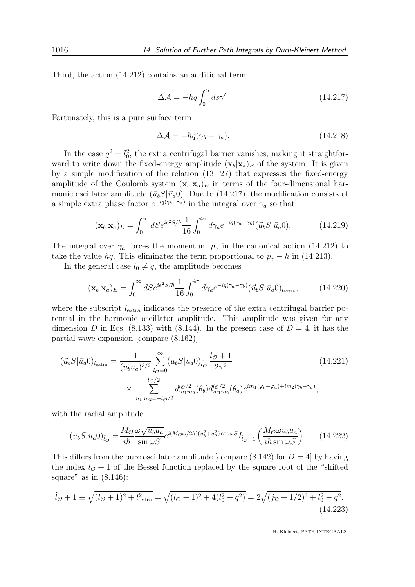Third, the action (14.212) contains an additional term

$$
\Delta \mathcal{A} = -\hbar q \int_0^S ds \gamma'. \tag{14.217}
$$

Fortunately, this is a pure surface term

$$
\Delta \mathcal{A} = -\hbar q(\gamma_b - \gamma_a). \tag{14.218}
$$

In the case  $q^2 = l_0^2$ , the extra centrifugal barrier vanishes, making it straightforward to write down the fixed-energy amplitude  $(\mathbf{x}_b|\mathbf{x}_a)_E$  of the system. It is given by a simple modification of the relation (13.127) that expresses the fixed-energy amplitude of the Coulomb system  $(\mathbf{x}_b|\mathbf{x}_a)_E$  in terms of the four-dimensional harmonic oscillator amplitude  $(\vec{u}_b S|\vec{u}_a)$ . Due to (14.217), the modification consists of a simple extra phase factor  $e^{-iq(\gamma_b - \gamma_a)}$  in the integral over  $\gamma_a$  so that

$$
(\mathbf{x}_b|\mathbf{x}_a)_E = \int_0^\infty dS e^{ie^2 S/\hbar} \frac{1}{16} \int_0^{4\pi} d\gamma_a e^{-iq(\gamma_a - \gamma_b)} (\vec{u}_b S|\vec{u}_a 0).
$$
 (14.219)

The integral over  $\gamma_a$  forces the momentum  $p_\gamma$  in the canonical action (14.212) to take the value  $\hbar q$ . This eliminates the term proportional to  $p_{\gamma} - \hbar$  in (14.213).

In the general case  $l_0 \neq q$ , the amplitude becomes

$$
(\mathbf{x}_b|\mathbf{x}_a)_E = \int_0^\infty dSe^{ie^2S/\hbar} \frac{1}{16} \int_0^{4\pi} d\gamma_a e^{-iq(\gamma_a - \gamma_b)} (\vec{u}_b S|\vec{u}_a 0)_{l_{\text{extra}}}, \tag{14.220}
$$

where the subscript  $l_{\text{extra}}$  indicates the presence of the extra centrifugal barrier potential in the harmonic oscillator amplitude. This amplitude was given for any dimension D in Eqs. (8.133) with (8.144). In the present case of  $D = 4$ , it has the partial-wave expansion [compare (8.162)]

$$
(\vec{u}_b S | \vec{u}_a)_{l_{\text{extra}}} = \frac{1}{(u_b u_a)^{3/2}} \sum_{l_{\mathcal{O}}=0}^{\infty} (u_b S | u_a 0)_{\tilde{l}_{\mathcal{O}}} \frac{l_{\mathcal{O}} + 1}{2\pi^2}
$$
\n
$$
\times \sum_{m_1, m_2=-l_{\mathcal{O}}/2}^{l_{\mathcal{O}}/2} d_{m_1 m_2}^{l_{\mathcal{O}}/2}(\theta_b) d_{m_1 m_2}^{l_{\mathcal{O}}/2}(\theta_a) e^{im_1(\varphi_b - \varphi_a) + im_2(\gamma_b - \gamma_a)},
$$
\n(14.221)

with the radial amplitude

$$
(u_b S | u_a 0)_{\tilde{l}_\mathcal{O}} = \frac{M_\mathcal{O} \omega \sqrt{u_b u_a}}{i\hbar} e^{i(M_\mathcal{O} \omega/2\hbar)(u_b^2 + u_a^2) \cot \omega S} I_{\tilde{l}_\mathcal{O} + 1} \left( \frac{M_\mathcal{O} \omega u_b u_a}{i\hbar \sin \omega S} \right). \tag{14.222}
$$

This differs from the pure oscillator amplitude [compare  $(8.142)$  for  $D = 4$ ] by having the index  $l_{\mathcal{O}}+1$  of the Bessel function replaced by the square root of the "shifted" square" as in  $(8.146)$ :

$$
\tilde{l}_{\mathcal{O}} + 1 \equiv \sqrt{(l_{\mathcal{O}} + 1)^2 + l_{\text{extra}}^2} = \sqrt{(l_{\mathcal{O}} + 1)^2 + 4(l_0^2 - q^2)} = 2\sqrt{(j_{\mathcal{D}} + 1/2)^2 + l_0^2 - q^2}.
$$
\n(14.223)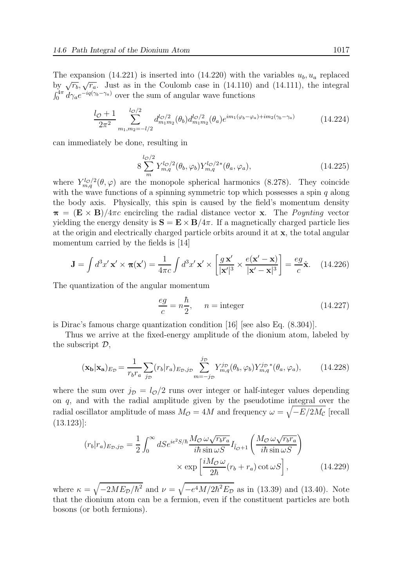The expansion (14.221) is inserted into (14.220) with the variables  $u_b, u_a$  replaced by  $\sqrt{r_b}$ ,  $\sqrt{r_a}$ . Just as in the Coulomb case in (14.110) and (14.111), the integral  $\int_0^{4\pi} d\gamma_a e^{-iq(\gamma_b-\gamma_a)}$  over the sum of angular wave functions

$$
\frac{l_{\mathcal{O}} + 1}{2\pi^2} \sum_{m_1, m_2 = -l/2}^{l_{\mathcal{O}}/2} d_{m_1 m_2}^{l_{\mathcal{O}}/2}(\theta_b) d_{m_1 m_2}^{l_{\mathcal{O}}/2}(\theta_a) e^{im_1(\varphi_b - \varphi_a) + im_2(\gamma_b - \gamma_a)}
$$
(14.224)

can immediately be done, resulting in

$$
8\sum_{m}^{l_{\mathcal{O}}/2} Y_{m,q}^{l_{\mathcal{O}}/2}(\theta_b,\varphi_b) Y_{m,q}^{l_{\mathcal{O}}/2*}(\theta_a,\varphi_a),\tag{14.225}
$$

where  $Y_{m,q}^{l_{\mathcal{O}}/2}(\theta,\varphi)$  are the monopole spherical harmonics (8.278). They coincide with the wave functions of a spinning symmetric top which possesses a spin  $q$  along the body axis. Physically, this spin is caused by the field's momentum density  $\pi = (\mathbf{E} \times \mathbf{B})/4\pi c$  encircling the radial distance vector x. The *Poynting* vector yielding the energy density is  $S = E \times B/4\pi$ . If a magnetically charged particle lies at the origin and electrically charged particle orbits around it at  $x$ , the total angular momentum carried by the fields is [14]

$$
\mathbf{J} = \int d^3 x' \mathbf{x}' \times \boldsymbol{\pi}(\mathbf{x}') = \frac{1}{4\pi c} \int d^3 x' \mathbf{x}' \times \left[ \frac{g \mathbf{x}'}{|\mathbf{x}'|^3} \times \frac{e(\mathbf{x}' - \mathbf{x})}{|\mathbf{x}' - \mathbf{x}|^3} \right] = \frac{eg}{c} \hat{\mathbf{x}}.
$$
 (14.226)

The quantization of the angular momentum

$$
\frac{eg}{c} = n\frac{\hbar}{2}, \quad n = \text{integer} \tag{14.227}
$$

is Dirac's famous charge quantization condition [16] [see also Eq. (8.304)].

Thus we arrive at the fixed-energy amplitude of the dionium atom, labeled by the subscript  $\mathcal{D},$ 

$$
(\mathbf{x_b}|\mathbf{x_a})_{E_{\mathcal{D}}} = \frac{1}{r_b r_a} \sum_{j_{\mathcal{D}}}(r_b|r_a)_{E_{\mathcal{D}},j_{\mathcal{D}}} \sum_{m=-j_{\mathcal{D}}}^{j_{\mathcal{D}}} Y_{m,q}^{j_{\mathcal{D}}}(\theta_b,\varphi_b) Y_{m,q}^{j_{\mathcal{D}}}*(\theta_a,\varphi_a), \quad (14.228)
$$

where the sum over  $j_{\mathcal{D}} = l_{\mathcal{O}}/2$  runs over integer or half-integer values depending on q, and with the radial amplitude given by the pseudotime integral over the radial oscillator amplitude of mass  $M_{\cal{O}} = 4M$  and frequency  $\omega = \sqrt{-E/2M_{\cal{C}}}$  [recall  $(13.123)$ :

$$
(r_b|r_a)_{E_{\mathcal{D}},j_{\mathcal{D}}} = \frac{1}{2} \int_0^\infty dSe^{ie^2S/\hbar} \frac{M_{\mathcal{O}} \omega \sqrt{r_b r_a}}{i\hbar \sin \omega S} I_{\tilde{l}_{\mathcal{O}}+1} \left( \frac{M_{\mathcal{O}} \omega \sqrt{r_b r_a}}{i\hbar \sin \omega S} \right) \times \exp\left[ \frac{iM_{\mathcal{O}} \omega}{2\hbar} (r_b + r_a) \cot \omega S \right], \tag{14.229}
$$

where  $\kappa = \sqrt{-2ME_D/\hbar^2}$  and  $\nu = \sqrt{-e^4 M/2\hbar^2 E_D}$  as in (13.39) and (13.40). Note that the dionium atom can be a fermion, even if the constituent particles are both bosons (or both fermions).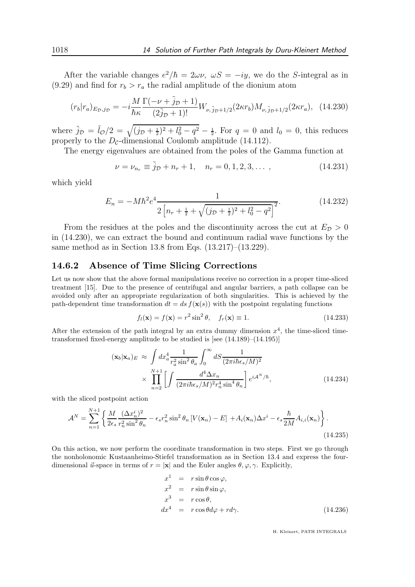After the variable changes  $e^2/\hbar = 2\omega \nu$ ,  $\omega S = -iy$ , we do the S-integral as in (9.29) and find for  $r_b > r_a$  the radial amplitude of the dionium atom

$$
(r_b|r_a)_{E_{\mathcal{D}},j_{\mathcal{D}}} = -i\frac{M}{\hbar\kappa} \frac{\Gamma(-\nu + \tilde{j}_{\mathcal{D}} + 1)}{(2\tilde{j}_{\mathcal{D}} + 1)!} W_{\nu,\tilde{j}_{\mathcal{D}}+1/2}(2\kappa r_b) M_{\nu,\tilde{j}_{\mathcal{D}}+1/2}(2\kappa r_a), \quad (14.230)
$$

where  $\tilde{j}_D = \tilde{l}_Q/2 = \sqrt{(j_D + \frac{1}{2})^2 + l_0^2 - q^2} - \frac{1}{2}$ . For  $q = 0$  and  $l_0 = 0$ , this reduces properly to the  $D_{\mathcal{C}}$ -dimensional Coulomb amplitude (14.112).

The energy eigenvalues are obtained from the poles of the Gamma function at

$$
\nu = \nu_{n_r} \equiv \tilde{j}_{\mathcal{D}} + n_r + 1, \quad n_r = 0, 1, 2, 3, \dots, \tag{14.231}
$$

which yield

$$
E_n = -M\hbar^2 e^4 \frac{1}{2\left[n_r + \frac{1}{2} + \sqrt{(j_p + \frac{1}{2})^2 + l_0^2 - q^2}\right]^2}.
$$
 (14.232)

From the residues at the poles and the discontinuity across the cut at  $E_{\mathcal{D}} > 0$ in (14.230), we can extract the bound and continuum radial wave functions by the same method as in Section 13.8 from Eqs. (13.217)–(13.229).

#### 14.6.2 Absence of Time Slicing Corrections

Let us now show that the above formal manipulations receive no correction in a proper time-sliced treatment [15]. Due to the presence of centrifugal and angular barriers, a path collapse can be avoided only after an appropriate regularization of both singularities. This is achieved by the path-dependent time transformation  $dt = ds f(\mathbf{x}(s))$  with the postpoint regulating functions

$$
f_l(\mathbf{x}) = f(\mathbf{x}) = r^2 \sin^2 \theta, \quad f_r(\mathbf{x}) \equiv 1.
$$
 (14.233)

After the extension of the path integral by an extra dummy dimension  $x^4$ , the time-sliced timetransformed fixed-energy amplitude to be studied is [see (14.189)–(14.195)]

$$
(\mathbf{x}_b|\mathbf{x}_a)_E \approx \int dx_a^4 \frac{1}{r_a^2 \sin^2 \theta_a} \int_0^\infty dS \frac{1}{(2\pi i\hbar \epsilon_s/M)^2} \times \prod_{n=2}^{N+1} \left[ \int \frac{d^4 \Delta x_n}{(2\pi i\hbar \epsilon_s/M)^2 r_n^4 \sin^4 \theta_n} \right] e^{i\mathcal{A}^N/\hbar}, \tag{14.234}
$$

with the sliced postpoint action

$$
\mathcal{A}^N = \sum_{n=1}^{N+1} \left\{ \frac{M}{2\epsilon_s} \frac{(\Delta x_n^i)^2}{r_n^2 \sin^2 \theta_n} - \epsilon_s r_n^2 \sin^2 \theta_n \left[ V(\mathbf{x}_n) - E \right] + A_i(\mathbf{x}_n) \Delta x^i - \epsilon_s \frac{\hbar}{2M} A_{i,i}(\mathbf{x}_n) \right\}.
$$
\n(14.235)

On this action, we now perform the coordinate transformation in two steps. First we go through the nonholonomic Kustaanheimo-Stiefel transformation as in Section 13.4 and express the fourdimensional  $\vec{u}$ -space in terms of  $r = |\mathbf{x}|$  and the Euler angles  $\theta, \varphi, \gamma$ . Explicitly,

$$
x^{1} = r \sin \theta \cos \varphi,
$$
  
\n
$$
x^{2} = r \sin \theta \sin \varphi,
$$
  
\n
$$
x^{3} = r \cos \theta,
$$
  
\n
$$
dx^{4} = r \cos \theta d\varphi + r d\gamma.
$$
\n(14.236)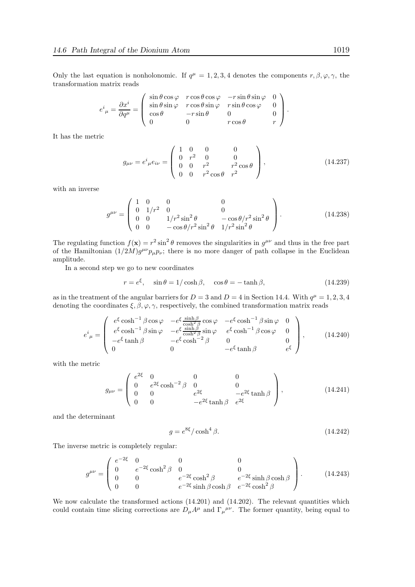Only the last equation is nonholonomic. If  $q^{\mu} = 1, 2, 3, 4$  denotes the components  $r, \beta, \varphi, \gamma$ , the transformation matrix reads

$$
e^{i}_{\ \mu} = \frac{\partial x^{i}}{\partial q^{\mu}} = \begin{pmatrix} \sin \theta \cos \varphi & r \cos \theta \cos \varphi & -r \sin \theta \sin \varphi & 0 \\ \sin \theta \sin \varphi & r \cos \theta \sin \varphi & r \sin \theta \cos \varphi & 0 \\ \cos \theta & -r \sin \theta & 0 & 0 \\ 0 & 0 & r \cos \theta & r \end{pmatrix}.
$$

It has the metric

$$
g_{\mu\nu} = e^i{}_{\mu}e_{i\nu} = \begin{pmatrix} 1 & 0 & 0 & 0 \\ 0 & r^2 & 0 & 0 \\ 0 & 0 & r^2 & r^2 \cos \theta \\ 0 & 0 & r^2 \cos \theta & r^2 \end{pmatrix},
$$
(14.237)

with an inverse

$$
g^{\mu\nu} = \begin{pmatrix} 1 & 0 & 0 & 0 \\ 0 & 1/r^2 & 0 & 0 \\ 0 & 0 & 1/r^2 \sin^2 \theta & -\cos \theta/r^2 \sin^2 \theta \\ 0 & 0 & -\cos \theta/r^2 \sin^2 \theta & 1/r^2 \sin^2 \theta \end{pmatrix}.
$$
 (14.238)

The regulating function  $f(\mathbf{x}) = r^2 \sin^2 \theta$  removes the singularities in  $g^{\mu\nu}$  and thus in the free part of the Hamiltonian  $(1/2M)g^{\mu\nu}p_{\mu}p_{\nu}$ ; there is no more danger of path collapse in the Euclidean amplitude.

In a second step we go to new coordinates

$$
r = e^{\xi}, \quad \sin \theta = 1/\cosh \beta, \quad \cos \theta = -\tanh \beta,
$$
 (14.239)

as in the treatment of the angular barriers for  $D = 3$  and  $D = 4$  in Section 14.4. With  $q^{\mu} = 1, 2, 3, 4$ denoting the coordinates  $\xi, \beta, \varphi, \gamma$ , respectively, the combined transformation matrix reads

$$
e^{i}_{\mu} = \begin{pmatrix} e^{\xi} \cosh^{-1} \beta \cos \varphi & -e^{\xi} \frac{\sinh \beta}{\cosh^{2} \beta} \cos \varphi & -e^{\xi} \cosh^{-1} \beta \sin \varphi & 0\\ e^{\xi} \cosh^{-1} \beta \sin \varphi & -e^{\xi} \frac{\sinh \beta}{\cosh^{2} \beta} \sin \varphi & e^{\xi} \cosh^{-1} \beta \cos \varphi & 0\\ -e^{\xi} \tanh \beta & -e^{\xi} \cosh^{-2} \beta & 0 & 0\\ 0 & 0 & -e^{\xi} \tanh \beta & e^{\xi} \end{pmatrix}, \qquad (14.240)
$$

with the metric

$$
g_{\mu\nu} = \begin{pmatrix} e^{2\xi} & 0 & 0 & 0 \\ 0 & e^{2\xi}\cosh^{-2}\beta & 0 & 0 \\ 0 & 0 & e^{2\xi} & -e^{2\xi}\tanh\beta \\ 0 & 0 & -e^{2\xi}\tanh\beta & e^{2\xi} \end{pmatrix},
$$
(14.241)

and the determinant

$$
g = e^{8\xi} / \cosh^4 \beta. \tag{14.242}
$$

The inverse metric is completely regular:

$$
g^{\mu\nu} = \begin{pmatrix} e^{-2\xi} & 0 & 0 & 0 \\ 0 & e^{-2\xi}\cosh^2\beta & 0 & 0 \\ 0 & 0 & e^{-2\xi}\cosh^2\beta & e^{-2\xi}\sinh\beta\cosh\beta \\ 0 & 0 & e^{-2\xi}\sinh\beta\cosh\beta & e^{-2\xi}\cosh^2\beta \end{pmatrix}.
$$
 (14.243)

We now calculate the transformed actions  $(14.201)$  and  $(14.202)$ . The relevant quantities which could contain time slicing corrections are  $D_{\mu}A^{\mu}$  and  $\Gamma_{\mu}{}^{\mu\nu}$ . The former quantity, being equal to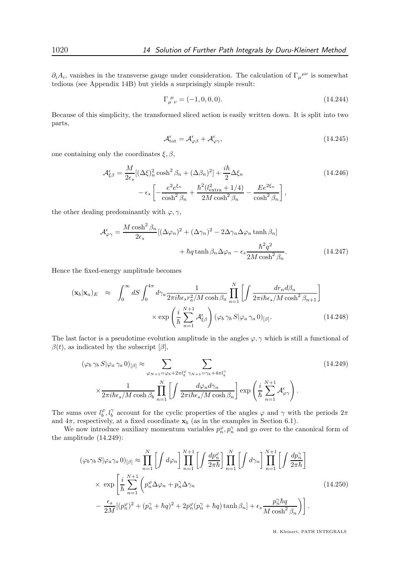$\partial_i A_i$ , vanishes in the transverse gauge under consideration. The calculation of  $\Gamma_\mu{}^{\mu\nu}$  is somewhat tedious (see Appendix 14B) but yields a surprisingly simple result:

$$
\Gamma^{\ \mu}_{\mu \ \nu} = (-1, 0, 0, 0). \tag{14.244}
$$

Because of this simplicity, the transformed sliced action is easily written down. It is split into two parts,

$$
\mathcal{A}_{\text{tot}}^{\epsilon} = \mathcal{A}_{\varphi\beta}^{\epsilon} + \mathcal{A}_{\varphi\gamma}^{\epsilon},\tag{14.245}
$$

one containing only the coordinates  $\xi, \beta$ ,

$$
\mathcal{A}_{\xi\beta}^{\epsilon} = \frac{M}{2\epsilon_s} [(\Delta\xi)_n^2 \cosh^2 \beta_n + (\Delta\beta_n)^2] + \frac{i\hbar}{2} \Delta\xi_n
$$
\n
$$
- \epsilon_s \left[ -\frac{e^2 e^{\xi_n}}{\cosh^2 \beta_n} + \frac{\hbar^2 (l_{\text{extra}}^2 + 1/4)}{2M \cosh^2 \beta_n} - \frac{E e^{2\xi_n}}{\cosh^2 \beta_n} \right],
$$
\n(14.246)

the other dealing predominantly with  $\varphi, \gamma$ ,

$$
\mathcal{A}^{\epsilon}_{\varphi\gamma} = \frac{M \cosh^2 \beta_n}{2\epsilon_s} [(\Delta \varphi_n)^2 + (\Delta \gamma_n)^2 - 2\Delta \gamma_n \Delta \varphi_n \tanh \beta_n] + \hbar q \tanh \beta_n \Delta \varphi_n - \epsilon_s \frac{\hbar^2 q^2}{2M \cosh^2 \beta_n}.
$$
 (14.247)

Hence the fixed-energy amplitude becomes

$$
(\mathbf{x}_b|\mathbf{x}_a)_E \approx \int_0^\infty dS \int_0^{4\pi} d\gamma_a \frac{1}{2\pi i\hbar \epsilon_s r_a^2/M \cosh\beta_a} \prod_{n=1}^N \left[ \int \frac{dr_n d\beta_n}{2\pi i\hbar \epsilon_s/M \cosh^2\beta_{n+1}} \right]
$$

$$
\times \exp\left(\frac{i}{\hbar} \sum_{n=1}^{N+1} \mathcal{A}_{\xi\beta}^{\epsilon} \right) (\varphi_b \gamma_b S |\varphi_a \gamma_a 0)_{[\beta]}.
$$
(14.248)

The last factor is a pseudotime evolution amplitude in the angles  $\varphi, \gamma$  which is still a functional of  $\beta(t)$ , as indicated by the subscript  $[\beta]$ ,

$$
(\varphi_b \gamma_b S | \varphi_a \gamma_a 0)_{[\beta]} \approx \sum_{\varphi_{N+1} = \varphi_b + 2\pi l_b^{\varphi}} \sum_{\gamma_{N+1} = \gamma_b + 4\pi l_b^{\gamma}} (14.249)
$$
  

$$
\times \frac{1}{2\pi i \hbar \epsilon_s / M \cosh \beta_b} \prod_{n=1}^{N} \left[ \int \frac{d\varphi_n d\gamma_n}{2\pi i \hbar \epsilon_s / M \cosh \beta_n} \right] \exp\left(\frac{i}{\hbar} \sum_{n=1}^{N+1} \mathcal{A}_{\varphi\gamma}^{\epsilon}\right).
$$

The sums over  $l_b^{\varphi}, l_b^{\gamma}$  account for the cyclic properties of the angles  $\varphi$  and  $\gamma$  with the periods  $2\pi$ and  $4\pi$ , respectively, at a fixed coordinate  $\mathbf{x}_b$  (as in the examples in Section 6.1).

We now introduce auxiliary momentum variables  $p_n^{\varphi}, p_n^{\gamma}$  and go over to the canonical form of the amplitude (14.249):

$$
(\varphi_b \gamma_b S | \varphi_a \gamma_a 0)_{[\beta]} \approx \prod_{n=1}^N \left[ \int d\varphi_n \right] \prod_{n=1}^{N+1} \left[ \int \frac{dp_n^{\varphi}}{2\pi\hbar} \right] \prod_{n=1}^N \left[ \int d\gamma_n \right] \prod_{n=1}^{N+1} \left[ \int \frac{dp_n^{\gamma}}{2\pi\hbar} \right]
$$
  
 
$$
\times \exp \left[ \frac{i}{\hbar} \sum_{n=1}^{N+1} \left( p_n^{\varphi} \Delta \varphi_n + p_n^{\gamma} \Delta \gamma_n \right) - \frac{\epsilon_s}{2M} \left[ (p_n^{\varphi})^2 + (p_n^{\gamma} + \hbar q)^2 + 2p_n^{\varphi} (p_n^{\gamma} + \hbar q) \tanh \beta_n \right] + \epsilon_s \frac{p_n^{\gamma} \hbar q}{M \cosh^2 \beta_n} \right].
$$
 (14.250)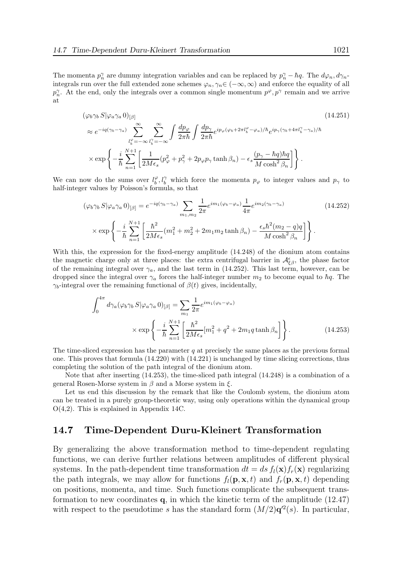The momenta  $p_n^{\gamma}$  are dummy integration variables and can be replaced by  $p_n^{\gamma} - \hbar q$ . The  $d\varphi_n, d\gamma_n$ integrals run over the full extended zone schemes  $\varphi_n, \gamma_n \in (-\infty, \infty)$  and enforce the equality of all  $p_n^{\gamma}$ . At the end, only the integrals over a common single momentum  $p^{\varphi}, p^{\gamma}$  remain and we arrive at

$$
(\varphi_b \gamma_b S | \varphi_a \gamma_a 0)_{[\beta]}
$$
\n
$$
\approx e^{-iq(\gamma_b - \gamma_a)} \sum_{l_b^{\varphi} = -\infty}^{\infty} \sum_{l_b^{\varphi} = -\infty}^{\infty} \int \frac{dp_{\varphi}}{2\pi\hbar} \int \frac{dp_{\gamma}}{2\pi\hbar} e^{ip_{\varphi}(\varphi_b + 2\pi l_b^{\varphi} - \varphi_a)/\hbar} e^{ip_{\gamma}(\gamma_b + 4\pi l_b^{\gamma} - \gamma_a)/\hbar}
$$
\n
$$
\times \exp\left\{-\frac{i}{\hbar} \sum_{n=1}^{N+1} \left[ \frac{1}{2M\epsilon_s} (p_{\varphi}^2 + p_{\gamma}^2 + 2p_{\varphi}p_{\gamma} \tanh \beta_n) - \epsilon_s \frac{(p_{\gamma} - \hbar q)\hbar q}{M \cosh^2 \beta_n} \right] \right\}.
$$
\n(14.251)

We can now do the sums over  $l_b^{\varphi}, l_b^{\gamma}$  which force the momenta  $p_{\varphi}$  to integer values and  $p_{\gamma}$  to half-integer values by Poisson's formula, so that

$$
(\varphi_b \gamma_b S | \varphi_a \gamma_a 0)_{[\beta]} = e^{-iq(\gamma_b - \gamma_a)} \sum_{m_1, m_2} \frac{1}{2\pi} e^{im_1(\varphi_b - \varphi_a)} \frac{1}{4\pi} e^{im_2(\gamma_b - \gamma_a)} \qquad (14.252)
$$

$$
\times \exp\left\{-\frac{i}{\hbar} \sum_{n=1}^{N+1} \left[ \frac{\hbar^2}{2M\epsilon_s} (m_1^2 + m_2^2 + 2m_1 m_2 \tanh \beta_n) - \frac{\epsilon_s \hbar^2 (m_2 - q)q}{M \cosh^2 \beta_n} \right] \right\}.
$$

With this, the expression for the fixed-energy amplitude (14.248) of the dionium atom contains the magnetic charge only at three places: the extra centrifugal barrier in  $\mathcal{A}_{\xi\beta}^{\epsilon}$ , the phase factor of the remaining integral over  $\gamma_a$ , and the last term in (14.252). This last term, however, can be dropped since the integral over  $\gamma_a$  forces the half-integer number  $m_2$  to become equal to  $\hbar q$ . The  $\gamma_b$ -integral over the remaining functional of  $\beta(t)$  gives, incidentally,

$$
\int_0^{4\pi} d\gamma_a (\varphi_b \gamma_b S | \varphi_a \gamma_a 0)_{[\beta]} = \sum_{m_1} \frac{1}{2\pi} e^{im_1(\varphi_b - \varphi_a)}
$$

$$
\times \exp\left\{-\frac{i}{\hbar} \sum_{n=1}^{N+1} \left[\frac{\hbar^2}{2M\epsilon_s} [m_1^2 + q^2 + 2m_1 q \tanh \beta_n] \right] \right\}.
$$
(14.253)

The time-sliced expression has the parameter  $q$  at precisely the same places as the previous formal one. This proves that formula (14.220) with (14.221) is unchanged by time slicing corrections, thus completing the solution of the path integral of the dionium atom.

Note that after inserting (14.253), the time-sliced path integral (14.248) is a combination of a general Rosen-Morse system in  $\beta$  and a Morse system in ξ.

Let us end this discussion by the remark that like the Coulomb system, the dionium atom can be treated in a purely group-theoretic way, using only operations within the dynamical group O(4,2). This is explained in Appendix 14C.

#### 14.7 Time-Dependent Duru-Kleinert Transformation

By generalizing the above transformation method to time-dependent regulating functions, we can derive further relations between amplitudes of different physical systems. In the path-dependent time transformation  $dt = ds f_l(\mathbf{x}) f_r(\mathbf{x})$  regularizing the path integrals, we may allow for functions  $f_l(\mathbf{p}, \mathbf{x}, t)$  and  $f_r(\mathbf{p}, \mathbf{x}, t)$  depending on positions, momenta, and time. Such functions complicate the subsequent transformation to new coordinates  $q$ , in which the kinetic term of the amplitude  $(12.47)$ with respect to the pseudotime s has the standard form  $(M/2)q'^2(s)$ . In particular,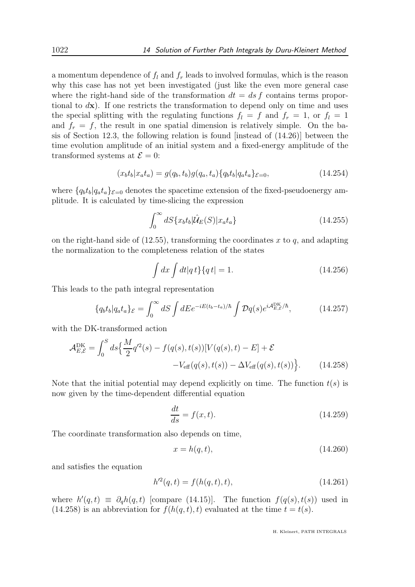a momentum dependence of  $f_l$  and  $f_r$  leads to involved formulas, which is the reason why this case has not yet been investigated (just like the even more general case where the right-hand side of the transformation  $dt = ds f$  contains terms proportional to  $d\mathbf{x}$ ). If one restricts the transformation to depend only on time and uses the special splitting with the regulating functions  $f_l = f$  and  $f_r = 1$ , or  $f_l = 1$ and  $f_r = f$ , the result in one spatial dimension is relatively simple. On the basis of Section 12.3, the following relation is found [instead of (14.26)] between the time evolution amplitude of an initial system and a fixed-energy amplitude of the transformed systems at  $\mathcal{E} = 0$ :

$$
(x_b t_b | x_a t_a) = g(q_b, t_b)g(q_a, t_a) \{q_b t_b | q_a t_a \}_{\varepsilon = 0},
$$
\n(14.254)

where  $\{q_b t_b | q_a t_a\}_{\varepsilon=0}$  denotes the spacetime extension of the fixed-pseudoenergy amplitude. It is calculated by time-slicing the expression

$$
\int_0^\infty dS\{x_b t_b | \hat{\mathcal{U}}_E(S) | x_a t_a \} \tag{14.255}
$$

on the right-hand side of  $(12.55)$ , transforming the coordinates x to q, and adapting the normalization to the completeness relation of the states

$$
\int dx \int dt |q t\rangle \{q t| = 1.
$$
\n(14.256)

This leads to the path integral representation

$$
\{q_b t_b | q_a t_a \}_{\mathcal{E}} = \int_0^\infty dS \int dE e^{-iE(t_b - t_a)/\hbar} \int \mathcal{D}q(s) e^{i\mathcal{A}_{E,\mathcal{E}}^{\text{DK}}/\hbar},\tag{14.257}
$$

with the DK-transformed action

$$
\mathcal{A}_{E,\mathcal{E}}^{\text{DK}} = \int_0^S ds \Big\{ \frac{M}{2} q'^2(s) - f(q(s), t(s)) [V(q(s), t) - E] + \mathcal{E} -V_{\text{eff}}(q(s), t(s)) - \Delta V_{\text{eff}}(q(s), t(s)) \Big\}.
$$
 (14.258)

Note that the initial potential may depend explicitly on time. The function  $t(s)$  is now given by the time-dependent differential equation

$$
\frac{dt}{ds} = f(x, t). \tag{14.259}
$$

The coordinate transformation also depends on time,

$$
x = h(q, t), \tag{14.260}
$$

and satisfies the equation

$$
h'^{2}(q,t) = f(h(q,t),t),
$$
\n(14.261)

where  $h'(q, t) \equiv \partial_q h(q, t)$  [compare (14.15)]. The function  $f(q(s), t(s))$  used in (14.258) is an abbreviation for  $f(h(q, t), t)$  evaluated at the time  $t = t(s)$ .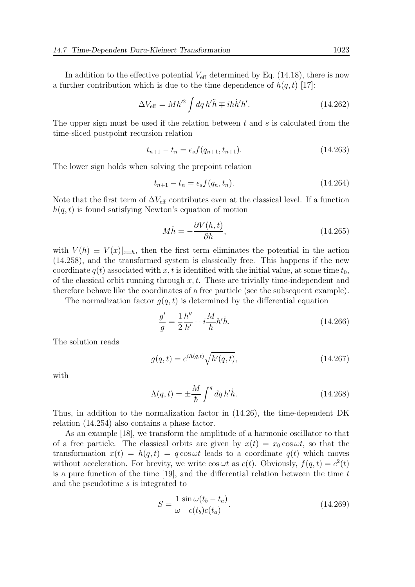In addition to the effective potential  $V_{\text{eff}}$  determined by Eq. (14.18), there is now a further contribution which is due to the time dependence of  $h(q, t)$  [17]:

$$
\Delta V_{\text{eff}} = M h'^2 \int dq h' \ddot{h} \mp i \hbar \dot{h}' h'. \qquad (14.262)
$$

The upper sign must be used if the relation between  $t$  and  $s$  is calculated from the time-sliced postpoint recursion relation

$$
t_{n+1} - t_n = \epsilon_s f(q_{n+1}, t_{n+1}). \tag{14.263}
$$

The lower sign holds when solving the prepoint relation

$$
t_{n+1} - t_n = \epsilon_s f(q_n, t_n).
$$
 (14.264)

Note that the first term of  $\Delta V_{\text{eff}}$  contributes even at the classical level. If a function  $h(q, t)$  is found satisfying Newton's equation of motion

$$
M\ddot{h} = -\frac{\partial V(h,t)}{\partial h},\tag{14.265}
$$

with  $V(h) \equiv V(x)|_{x=h}$ , then the first term eliminates the potential in the action (14.258), and the transformed system is classically free. This happens if the new coordinate  $q(t)$  associated with x, t is identified with the initial value, at some time  $t_0$ , of the classical orbit running through  $x, t$ . These are trivially time-independent and therefore behave like the coordinates of a free particle (see the subsequent example).

The normalization factor  $q(q, t)$  is determined by the differential equation

$$
\frac{g'}{g} = \frac{1}{2} \frac{h''}{h'} + i \frac{M}{\hbar} h' \dot{h}.
$$
\n(14.266)

The solution reads

$$
g(q,t) = e^{i\Lambda(q,t)} \sqrt{h'(q,t)},
$$
\n(14.267)

with

$$
\Lambda(q,t) = \pm \frac{M}{\hbar} \int^{q} dq \, h' \dot{h}.\tag{14.268}
$$

Thus, in addition to the normalization factor in (14.26), the time-dependent DK relation (14.254) also contains a phase factor.

As an example [18], we transform the amplitude of a harmonic oscillator to that of a free particle. The classical orbits are given by  $x(t) = x_0 \cos \omega t$ , so that the transformation  $x(t) = h(q, t) = q \cos \omega t$  leads to a coordinate  $q(t)$  which moves without acceleration. For brevity, we write  $\cos \omega t$  as  $c(t)$ . Obviously,  $f(q, t) = c^2(t)$ is a pure function of the time  $[19]$ , and the differential relation between the time t and the pseudotime s is integrated to

$$
S = \frac{1}{\omega} \frac{\sin \omega (t_b - t_a)}{c(t_b)c(t_a)}.
$$
\n(14.269)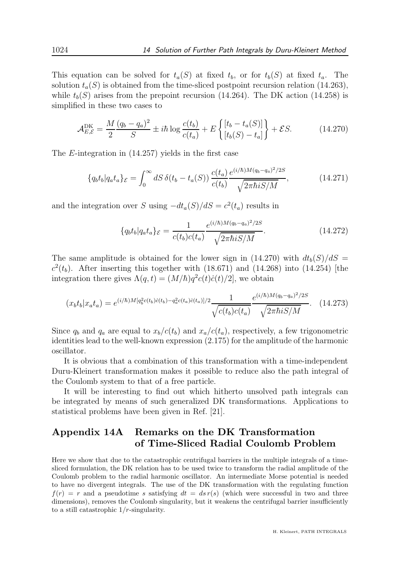This equation can be solved for  $t_a(S)$  at fixed  $t_b$ , or for  $t_b(S)$  at fixed  $t_a$ . The solution  $t_a(S)$  is obtained from the time-sliced postpoint recursion relation (14.263), while  $t_b(S)$  arises from the prepoint recursion (14.264). The DK action (14.258) is simplified in these two cases to

$$
\mathcal{A}_{E,\mathcal{E}}^{\text{DK}} = \frac{M}{2} \frac{(q_b - q_a)^2}{S} \pm i\hbar \log \frac{c(t_b)}{c(t_a)} + E \left\{ \frac{[t_b - t_a(S)]}{[t_b(S) - t_a]} \right\} + \mathcal{E}S.
$$
 (14.270)

The E-integration in (14.257) yields in the first case

$$
\{q_b t_b | q_a t_a \}_{\mathcal{E}} = \int_0^\infty dS \,\delta(t_b - t_a(S)) \, \frac{c(t_a)}{c(t_b)} \frac{e^{(i/\hbar)M(q_b - q_a)^2/2S}}{\sqrt{2\pi\hbar i S/M}},\tag{14.271}
$$

and the integration over S using  $-dt_a(S)/dS = c^2(t_a)$  results in

$$
\{q_b t_b | q_a t_a \}_{\mathcal{E}} = \frac{1}{c(t_b)c(t_a)} \frac{e^{(i/\hbar)M(q_b - q_a)^2/2S}}{\sqrt{2\pi\hbar i S/M}}.
$$
\n(14.272)

The same amplitude is obtained for the lower sign in (14.270) with  $dt_b(S)/dS =$  $c^2(t_b)$ . After inserting this together with (18.671) and (14.268) into (14.254) [the integration there gives  $\Lambda(q,t) = (M/\hbar)q^2c(t)\dot{c}(t)/2$ , we obtain

$$
(x_b t_b | x_a t_a) = e^{(i/\hbar)M[q_b^2 c(t_b) \dot{c}(t_b) - q_a^2 c(t_a) \dot{c}(t_a)]/2} \frac{1}{\sqrt{c(t_b)c(t_a)}} \frac{e^{(i/\hbar)M(q_b - q_a)^2/2S}}{\sqrt{2\pi\hbar i S/M}}.
$$
 (14.273)

Since  $q_b$  and  $q_a$  are equal to  $x_b/c(t_b)$  and  $x_a/c(t_a)$ , respectively, a few trigonometric identities lead to the well-known expression (2.175) for the amplitude of the harmonic oscillator.

It is obvious that a combination of this transformation with a time-independent Duru-Kleinert transformation makes it possible to reduce also the path integral of the Coulomb system to that of a free particle.

It will be interesting to find out which hitherto unsolved path integrals can be integrated by means of such generalized DK transformations. Applications to statistical problems have been given in Ref. [21].

## Appendix 14A Remarks on the DK Transformation of Time-Sliced Radial Coulomb Problem

Here we show that due to the catastrophic centrifugal barriers in the multiple integrals of a timesliced formulation, the DK relation has to be used twice to transform the radial amplitude of the Coulomb problem to the radial harmonic oscillator. An intermediate Morse potential is needed to have no divergent integrals. The use of the DK transformation with the regulating function  $f(r) = r$  and a pseudotime s satisfying  $dt = ds r(s)$  (which were successful in two and three dimensions), removes the Coulomb singularity, but it weakens the centrifugal barrier insufficiently to a still catastrophic 1/r-singularity.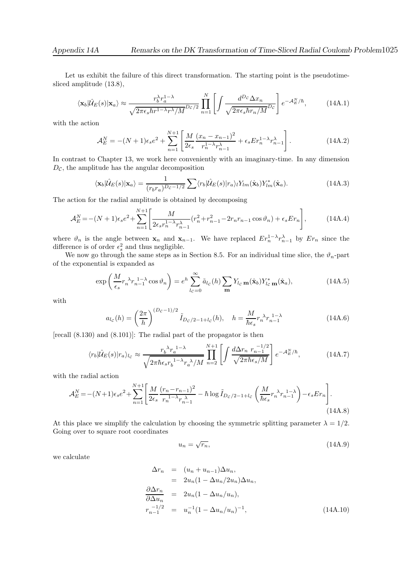Let us exhibit the failure of this direct transformation. The starting point is the pseudotimesliced amplitude (13.8),

$$
\langle \mathbf{x}_b | \hat{\mathcal{U}}_E(s) | \mathbf{x}_a \rangle \approx \frac{r_b^{\lambda} r_a^{1-\lambda}}{\sqrt{2\pi \epsilon_s \hbar r^{1-\lambda} r^{\lambda}/M}} \prod_{n=1}^N \left[ \int \frac{d^{D_c} \Delta x_n}{\sqrt{2\pi \epsilon_s \hbar r_n/M}} \right] e^{-\mathcal{A}_E^N/\hbar}, \tag{14A.1}
$$

with the action

$$
\mathcal{A}_E^N = -(N+1)\epsilon_s e^2 + \sum_{n=1}^{N+1} \left[ \frac{M}{2\epsilon_s} \frac{(x_n - x_{n-1})^2}{r_n^{1-\lambda} r_{n-1}^{\lambda}} + \epsilon_s E r_n^{1-\lambda} r_{n-1}^{\lambda} \right].
$$
 (14A.2)

In contrast to Chapter 13, we work here conveniently with an imaginary-time. In any dimension  $D_{\mathcal{C}}$ , the amplitude has the angular decomposition

$$
\langle \mathbf{x}_b | \hat{\mathcal{U}}_E(s) | \mathbf{x}_a \rangle = \frac{1}{(r_b r_a)^{D_c - 1/2}} \sum \langle r_b | \hat{\mathcal{U}}_E(s) | r_a \rangle_l Y_{lm}(\hat{\mathbf{x}}_b) Y_{lm}^*(\hat{\mathbf{x}}_a). \tag{14A.3}
$$

The action for the radial amplitude is obtained by decomposing

$$
\mathcal{A}_E^N = -(N+1)\epsilon_s e^2 + \sum_{n=1}^{N+1} \left[ \frac{M}{2\epsilon_s r_n^{1-\lambda} r_{n-1}^{\lambda}} (r_n^2 + r_{n-1}^2 - 2r_n r_{n-1} \cos \vartheta_n) + \epsilon_s E r_n \right],
$$
(14A.4)

where  $\vartheta_n$  is the angle between  $\mathbf{x}_n$  and  $\mathbf{x}_{n-1}$ . We have replaced  $Er_n^{1-\lambda}r_{n-1}^{\lambda}$  by  $Er_n$  since the difference is of order  $\epsilon_s^2$  and thus negligible.

We now go through the same steps as in Section 8.5. For an individual time slice, the  $\vartheta_n$ -part of the exponential is expanded as

$$
\exp\left(\frac{M}{\epsilon_s}r_n^{\lambda}r_{n-1}^{1-\lambda}\cos\vartheta_n\right) = e^h \sum_{l_c=0}^{\infty} \tilde{a}_{l_c}(h) \sum_{m} Y_{l_c} \mathbf{m}(\hat{\mathbf{x}}_b) Y_{l_c}^* \mathbf{m}(\hat{\mathbf{x}}_a),\tag{14A.5}
$$

with

$$
a_{l_c}(h) = \left(\frac{2\pi}{h}\right)^{(D_c - 1)/2} \tilde{I}_{D_c/2 - 1 + l_c}(h), \quad h = \frac{M}{\hbar \epsilon_s} r_n^{\lambda} r_{n-1}^{1-\lambda}
$$
(14A.6)

[recall (8.130) and (8.101)]: The radial part of the propagator is then

$$
\langle r_b | \hat{\mathcal{U}}_E(s) | r_a \rangle_{l_c} \approx \frac{r_b^{\lambda} r_a^{1-\lambda}}{\sqrt{2\pi\hbar\epsilon_s r_b^{1-\lambda} r_a^{\lambda}/M}} \prod_{n=2}^{N+1} \left[ \int \frac{d\Delta r_n \ r_{n-1}^{-1/2}}{\sqrt{2\pi\hbar\epsilon_s/M}} \right] e^{-\mathcal{A}_E^N/\hbar},\tag{14A.7}
$$

with the radial action

$$
\mathcal{A}_E^N = -(N+1)\epsilon_s e^2 + \sum_{n=1}^{N+1} \left[ \frac{M}{2\epsilon_s} \frac{(r_n - r_{n-1})^2}{r_n^{1-\lambda} r_{n-1}^{\lambda}} - \hbar \log \tilde{I}_{D_c/2-1+l_c} \left( \frac{M}{\hbar \epsilon_s} r_n^{\lambda} r_{n-1}^{1-\lambda} \right) - \epsilon_s E r_n \right].
$$
\n(14A.8)

At this place we simplify the calculation by choosing the symmetric splitting parameter  $\lambda = 1/2$ . Going over to square root coordinates

$$
u_n = \sqrt{r_n},\tag{14A.9}
$$

we calculate

$$
\Delta r_n = (u_n + u_{n-1}) \Delta u_n,
$$
  
\n
$$
= 2u_n (1 - \Delta u_n / 2u_n) \Delta u_n,
$$
  
\n
$$
\frac{\partial \Delta r_n}{\partial \Delta u_n} = 2u_n (1 - \Delta u_n / u_n),
$$
  
\n
$$
r_{n-1}^{-1/2} = u_n^{-1} (1 - \Delta u_n / u_n)^{-1},
$$
\n(14A.10)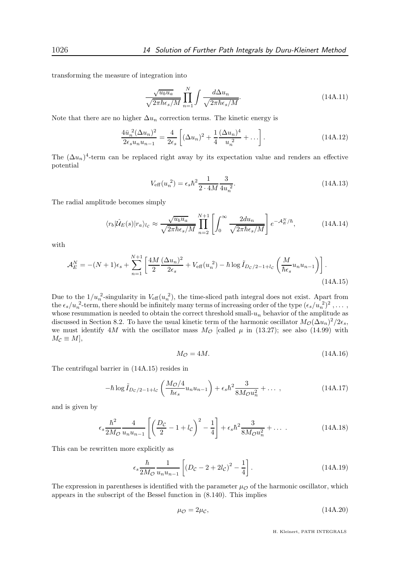transforming the measure of integration into

$$
\frac{\sqrt{u_b u_a}}{\sqrt{2\pi\hbar\epsilon_s/M}} \prod_{n=1}^N \int \frac{d\Delta u_n}{\sqrt{2\pi\hbar\epsilon_s/M}}.
$$
\n(14A.11)

Note that there are no higher  $\Delta u_n$  correction terms. The kinetic energy is

$$
\frac{4\bar{u}_n^2 (\Delta u_n)^2}{2\epsilon_s u_n u_{n-1}} = \frac{4}{2\epsilon_s} \left[ (\Delta u_n)^2 + \frac{1}{4} \frac{(\Delta u_n)^4}{u_n^2} + \ldots \right].
$$
\n(14A.12)

The  $(\Delta u_n)^4$ -term can be replaced right away by its expectation value and renders an effective potential

$$
V_{\text{eff}}(u_n^2) = \epsilon_s \hbar^2 \frac{1}{2 \cdot 4M} \frac{3}{4u_n^2}.
$$
 (14A.13)

The radial amplitude becomes simply

$$
\langle r_b | \hat{\mathcal{U}}_E(s) | r_a \rangle_{l_c} \approx \frac{\sqrt{u_b u_a}}{\sqrt{2\pi \hbar \epsilon_s / M}} \prod_{n=2}^{N+1} \left[ \int_0^\infty \frac{2du_n}{\sqrt{2\pi \hbar \epsilon_s / M}} \right] e^{-\mathcal{A}_E^N/\hbar}, \tag{14A.14}
$$

with

$$
\mathcal{A}_E^N = -(N+1)\epsilon_s + \sum_{n=1}^{N+1} \left[ \frac{4M}{2} \frac{(\Delta u_n)^2}{2\epsilon_s} + V_{\text{eff}}(u_n^2) - \hbar \log \tilde{I}_{D_c/2-1+l_c} \left( \frac{M}{\hbar \epsilon_s} u_n u_{n-1} \right) \right].
$$
\n(14A.15)

Due to the  $1/u_n^2$ -singularity in  $V_{\text{eff}}(u_n^2)$ , the time-sliced path integral does not exist. Apart from the  $\epsilon_s/u_n^2$ -term, there should be infinitely many terms of increasing order of the type  $(\epsilon_s/u_n^2)^2, \ldots$ , whose resummation is needed to obtain the correct threshold small- $u_n$  behavior of the amplitude as discussed in Section 8.2. To have the usual kinetic term of the harmonic oscillator  $M_{\mathcal{O}}(\Delta u_n)^2/2\epsilon_s$ , we must identify 4M with the oscillator mass  $M_{\mathcal{O}}$  [called  $\mu$  in (13.27); see also (14.99) with  $M_{\mathcal{C}} \equiv M,$ 

$$
M_{\mathcal{O}} = 4M.\tag{14A.16}
$$

The centrifugal barrier in (14A.15) resides in

$$
-\hbar \log \tilde{I}_{Dc/2-1+l_c} \left( \frac{M_O/4}{\hbar \epsilon_s} u_n u_{n-1} \right) + \epsilon_s \hbar^2 \frac{3}{8M_O u_n^2} + \dots \,, \tag{14A.17}
$$

and is given by

$$
\epsilon_s \frac{\hbar^2}{2M_{\mathcal{O}}} \frac{4}{u_n u_{n-1}} \left[ \left( \frac{D_{\mathcal{C}}}{2} - 1 + l_{\mathcal{C}} \right)^2 - \frac{1}{4} \right] + \epsilon_s \hbar^2 \frac{3}{8M_{\mathcal{O}} u_n^2} + \dots \tag{14A.18}
$$

This can be rewritten more explicitly as

$$
\epsilon_s \frac{\hbar}{2M_{\mathcal{O}}} \frac{1}{u_n u_{n-1}} \left[ \left( D_{\mathcal{C}} - 2 + 2l_{\mathcal{C}} \right)^2 - \frac{1}{4} \right]. \tag{14A.19}
$$

The expression in parentheses is identified with the parameter  $\mu_{\mathcal{O}}$  of the harmonic oscillator, which appears in the subscript of the Bessel function in (8.140). This implies

$$
\mu_{\mathcal{O}} = 2\mu_{\mathcal{C}},\tag{14A.20}
$$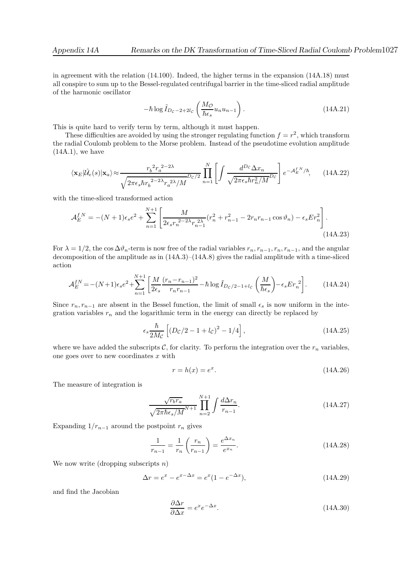in agreement with the relation (14.100). Indeed, the higher terms in the expansion (14A.18) must all conspire to sum up to the Bessel-regulated centrifugal barrier in the time-sliced radial amplitude of the harmonic oscillator

$$
-\hbar \log \tilde{I}_{D_c-2+2l_c} \left(\frac{M_{\mathcal{O}}}{\hbar \epsilon_s} u_n u_{n-1}\right). \tag{14A.21}
$$

This is quite hard to verify term by term, although it must happen.

These difficulties are avoided by using the stronger regulating function  $f = r^2$ , which transform the radial Coulomb problem to the Morse problem. Instead of the pseudotime evolution amplitude  $(14A.1)$ , we have

$$
\langle \mathbf{x}_E | \hat{\mathcal{U}}_e(s) | \mathbf{x}_a \rangle \approx \frac{r_b^2 r_a^{2-2\lambda}}{\sqrt{2\pi \epsilon_s \hbar r_b^{2-2\lambda} r_a^{2\lambda}/M}} \prod_{n=1}^N \left[ \int \frac{d^{D_c} \Delta x_n}{\sqrt{2\pi \epsilon_s \hbar r_n^2/M}} \right] e^{-A_E^{fN}/\hbar}, \qquad (14A.22)
$$

with the time-sliced transformed action

$$
\mathcal{A}_E^{f,N} = -(N+1)\epsilon_s e^2 + \sum_{n=1}^{N+1} \left[ \frac{M}{2\epsilon_s r_n^{2-2\lambda} r_{n-1}^{2\lambda}} (r_n^2 + r_{n-1}^2 - 2r_n r_{n-1} \cos \vartheta_n) - \epsilon_s E r_n^2 \right].
$$
\n(14A.23)

For  $\lambda = 1/2$ , the cos  $\Delta \vartheta_n$ -term is now free of the radial variables  $r_n, r_{n-1}, r_n, r_{n-1}$ , and the angular decomposition of the amplitude as in  $(14A.3)-(14A.8)$  gives the radial amplitude with a time-sliced action

$$
\mathcal{A}_{E}^{fN} = -(N+1)\epsilon_{s}e^{2} + \sum_{n=1}^{N+1} \left[ \frac{M}{2\epsilon_{s}} \frac{(r_{n} - r_{n-1})^{2}}{r_{n}r_{n-1}} - \hbar \log \tilde{I}_{D_{C}/2-1+l_{C}} \left( \frac{M}{\hbar \epsilon_{s}} \right) - \epsilon_{s} E r_{n}^{2} \right].
$$
 (14A.24)

Since  $r_n, r_{n-1}$  are absent in the Bessel function, the limit of small  $\epsilon_s$  is now uniform in the integration variables  $r_n$  and the logarithmic term in the energy can directly be replaced by

$$
\epsilon_s \frac{\hbar}{2M_C} \left[ \left( D_C / 2 - 1 + l_C \right)^2 - 1/4 \right],
$$
\n(14A.25)

where we have added the subscripts C, for clarity. To perform the integration over the  $r_n$  variables, one goes over to new coordinates  $x$  with

$$
r = h(x) = e^x. \tag{14A.26}
$$

The measure of integration is

$$
\frac{\sqrt{r_b r_a}}{\sqrt{2\pi\hbar\epsilon_s/M}}\prod_{n=2}^{N+1} \int \frac{d\Delta r_n}{r_{n-1}}.\tag{14A.27}
$$

Expanding  $1/r_{n-1}$  around the postpoint  $r_n$  gives

$$
\frac{1}{r_{n-1}} = \frac{1}{r_n} \left( \frac{r_n}{r_{n-1}} \right) = \frac{e^{\Delta x_n}}{e^{x_n}}.
$$
 (14A.28)

We now write (dropping subscripts  $n$ )

$$
\Delta r = e^x - e^{x - \Delta x} = e^x (1 - e^{-\Delta x}),
$$
\n(14A.29)

and find the Jacobian

$$
\frac{\partial \Delta r}{\partial \Delta x} = e^x e^{-\Delta x}.\tag{14A.30}
$$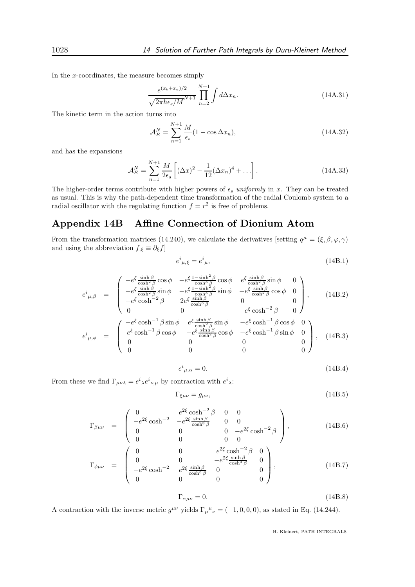In the x-coordinates, the measure becomes simply

$$
\frac{e^{(x_b+x_a)/2}}{\sqrt{2\pi\hbar\epsilon_s/M}}\prod_{n=2}^{N+1}\int d\Delta x_n.
$$
 (14A.31)

The kinetic term in the action turns into

$$
\mathcal{A}_E^N = \sum_{n=1}^{N+1} \frac{M}{\epsilon_s} (1 - \cos \Delta x_n),\tag{14A.32}
$$

and has the expansions

$$
\mathcal{A}_E^N = \sum_{n=1}^{N+1} \frac{M}{2\epsilon_s} \left[ (\Delta x)^2 - \frac{1}{12} (\Delta x_n)^4 + \ldots \right].
$$
 (14A.33)

The higher-order terms contribute with higher powers of  $\epsilon_s$  uniformly in x. They can be treated as usual. This is why the path-dependent time transformation of the radial Coulomb system to a radial oscillator with the regulating function  $f = r^2$  is free of problems.

## Appendix 14B Affine Connection of Dionium Atom

From the transformation matrices (14.240), we calculate the derivatives [setting  $q^{\mu} = (\xi, \beta, \varphi, \gamma)$ and using the abbreviation  $f_{,\xi} \equiv \partial_{\xi} f$ 

$$
e^i_{\mu,\xi} = e^i_{\mu},\tag{14B.1}
$$

$$
e^{i}_{\mu,\beta} = \begin{pmatrix} -e^{\xi} \frac{\sinh \beta}{\cosh^{2} \beta} \cos \phi & -e^{\xi} \frac{1-\sinh^{2} \beta}{\cosh^{3} \beta} \cos \phi & e^{\xi} \frac{\sinh \beta}{\cosh^{2} \beta} \sin \phi & 0\\ -e^{\xi} \frac{\sinh \beta}{\cosh^{2} \beta} \sin \phi & -e^{\xi} \frac{1-\sinh^{2} \beta}{\cosh^{3} \beta} \sin \phi & -e^{\xi} \frac{\sinh \beta}{\cosh^{2} \beta} \cos \phi & 0\\ -e^{\xi} \cosh^{-2} \beta & 2e^{\xi} \frac{\sinh \beta}{\cosh^{3} \beta} & 0 & 0 \end{pmatrix}, \quad (14B.2)
$$

$$
\begin{pmatrix}\n0 & 0 & -e^{\xi} \cosh^{-2} \beta & 0\n\end{pmatrix}
$$
\n
$$
e^{i}_{\mu,\phi} = \begin{pmatrix}\n-e^{\xi} \cosh^{-1} \beta \sin \phi & e^{\xi} \frac{\sinh \beta}{\cosh^{2} \beta} \sin \phi & -e^{\xi} \cosh^{-1} \beta \cos \phi & 0 \\
e^{\xi} \cosh^{-1} \beta \cos \phi & -e^{\xi} \frac{\sinh \beta}{\cosh^{2} \beta} \cos \phi & -e^{\xi} \cosh^{-1} \beta \sin \phi & 0 \\
0 & 0 & 0 & 0 \\
0 & 0 & 0 & 0\n\end{pmatrix}, (14B.3)
$$

$$
e^{i}{}_{\mu,\alpha} = 0.\tag{14B.4}
$$

From these we find  $\Gamma_{\mu\nu\lambda} = e^i{}_{\lambda} e^i{}_{\nu,\mu}$  by contraction with  $e^i{}_{\lambda}$ :

$$
\Gamma_{\xi\mu\nu} = g_{\mu\nu},\tag{14B.5}
$$

$$
\Gamma_{\beta\mu\nu} = \begin{pmatrix}\n0 & e^{2\xi} \cosh^{-2} \beta & 0 & 0 \\
-e^{2\xi} \cosh^{-2} & -e^{2\xi} \frac{\sinh \beta}{\cosh^3 \beta} & 0 & 0 \\
0 & 0 & 0 & -e^{2\xi} \cosh^{-2} \beta \\
0 & 0 & 0 & 0\n\end{pmatrix},
$$
\n(14B.6)

$$
\Gamma_{\phi\mu\nu} = \begin{pmatrix}\n0 & 0 & 0 & 0 \\
0 & 0 & e^{2\xi} \cosh^{-2}\beta & 0 \\
0 & 0 & -e^{2\xi} \frac{\sinh\beta}{\cosh^3\beta} & 0 \\
-e^{2\xi} \cosh^{-2} & e^{2\xi} \frac{\sinh\beta}{\cosh^3\beta} & 0 & 0 \\
0 & 0 & 0 & 0\n\end{pmatrix},
$$
\n(14B.7)

$$
\Gamma_{\alpha\mu\nu} = 0. \tag{14B.8}
$$

A contraction with the inverse metric  $g^{\mu\nu}$  yields  $\Gamma_{\mu}{}^{\mu}{}_{\nu} = (-1, 0, 0, 0)$ , as stated in Eq. (14.244).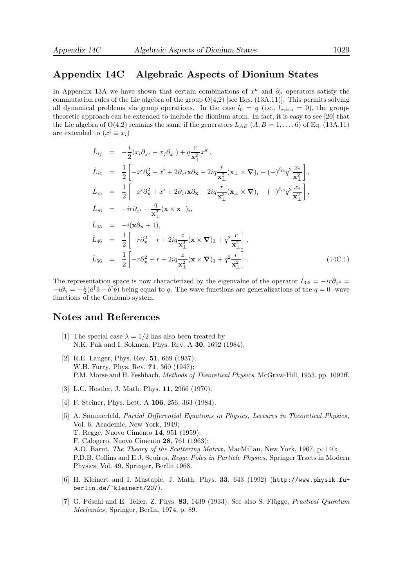#### Appendix 14C Algebraic Aspects of Dionium States

In Appendix 13A we have shown that certain combinations of  $x^{\mu}$  and  $\partial_{\mu}$  operators satisfy the commutation rules of the Lie algebra of the group  $O(4,2)$  [see Eqs. (13A.11)]. This permits solving all dynamical problems via group operations. In the case  $l_0 = q$  (i.e.,  $l_{\text{extra}} = 0$ ), the grouptheoretic approach can be extended to include the dionium atom. In fact, it is easy to see [20] that the Lie algebra of  $O(4,2)$  remains the same if the generators  $L_{AB}$   $(A, B = 1, \ldots, 6)$  of Eq. (13A.11) are extended to  $(x^i \equiv x_i)$ 

$$
\hat{L}_{ij} = -\frac{i}{2}(x_i\partial_{x^j} - x_j\partial_{x^i}) + q\frac{r}{\mathbf{x}_{\perp}^2}x_{\perp}^k,
$$
\n
$$
\hat{L}_{i4} = \frac{1}{2}\left[-x^i\partial_{\mathbf{x}}^2 - x^i + 2\partial_{x^i}\mathbf{x}\partial_{\mathbf{x}} + 2iq\frac{r}{\mathbf{x}_{\perp}^2}(\mathbf{x}_{\perp} \times \nabla)_i - (-)^{\delta_{i3}}q^2\frac{x_i}{\mathbf{x}_{\perp}^2}\right],
$$
\n
$$
\hat{L}_{i5} = \frac{1}{2}\left[-x^i\partial_{\mathbf{x}}^2 + x^i + 2\partial_{x^i}\mathbf{x}\partial_{\mathbf{x}} + 2iq\frac{r}{\mathbf{x}_{\perp}^2}(\mathbf{x}_{\perp} \times \nabla)_i - (-)^{\delta_{i3}}q^2\frac{x_i}{\mathbf{x}_{\perp}^2}\right],
$$
\n
$$
\hat{L}_{i6} = -ir\partial_{x^i} - \frac{q}{\mathbf{x}_{\perp}^2}(\mathbf{x} \times \mathbf{x}_{\perp})_i,
$$
\n
$$
\hat{L}_{45} = -i(\mathbf{x}\partial_{\mathbf{x}} + 1),
$$
\n
$$
\hat{L}_{46} = \frac{1}{2}\left[-r\partial_{\mathbf{x}}^2 - r + 2iq\frac{z}{\mathbf{x}_{\perp}^2}(\mathbf{x} \times \nabla)_3 + q^2\frac{r}{\mathbf{x}_{\perp}^2}\right],
$$
\n
$$
\hat{L}_{56} = \frac{1}{2}\left[-r\partial_{\mathbf{x}}^2 + r + 2iq\frac{z}{\mathbf{x}_{\perp}^2}(\mathbf{x} \times \nabla)_3 + q^2\frac{r}{\mathbf{x}_{\perp}^2}\right].
$$
\n(14C.1)

The representation space is now characterized by the eigenvalue of the operator  $\hat{L}_{05} = -ir\partial_{x^4} =$  $-i\partial_{\gamma} = -\frac{1}{2}(\hat{a}^{\dagger}\hat{a}-\hat{b}^{\dagger}\hat{b})$  being equal to q. The wave functions are generalizations of the  $q=0$  -wave functions of the Coulomb system.

#### Notes and References

- [1] The special case  $\lambda = 1/2$  has also been treated by N.K. Pak and I. Sokmen, Phys. Rev. A 30, 1692 (1984).
- [2] R.E. Langer, Phys. Rev. **51**, 669 (1937); W.H. Furry, Phys. Rev. 71, 360 (1947); P.M. Morse and H. Feshbach, Methods of Theoretical Physics, McGraw-Hill, 1953, pp. 1092ff.
- [3] L.C. Hostler, J. Math. Phys. 11, 2966 (1970).
- [4] F. Steiner, Phys. Lett. A 106, 256, 363 (1984).
- [5] A. Sommerfeld, Partial Differential Equations in Physics, Lectures in Theoretical Physics, Vol. 6, Academic, New York, 1949; T. Regge, Nuovo Cimento 14, 951 (1959); F. Calogero, Nuovo Cimento 28, 761 (1963); A.O. Barut, The Theory of the Scattering Matrix , MacMillan, New York, 1967, p. 140; P.D.B. Collins and E.J. Squires, Regge Poles in Particle Physics, Springer Tracts in Modern Physics, Vol. 49, Springer, Berlin 1968.
- [6] H. Kleinert and I. Mustapic, J. Math. Phys. 33, 643 (1992) (http://www.physik.fuberlin.de/~kleinert/207).
- [7] G. Pöschl and E. Teller, Z. Phys.  $83, 1439$  (1933). See also S. Flügge, *Practical Quantum* Mechanics, Springer, Berlin, 1974, p. 89.